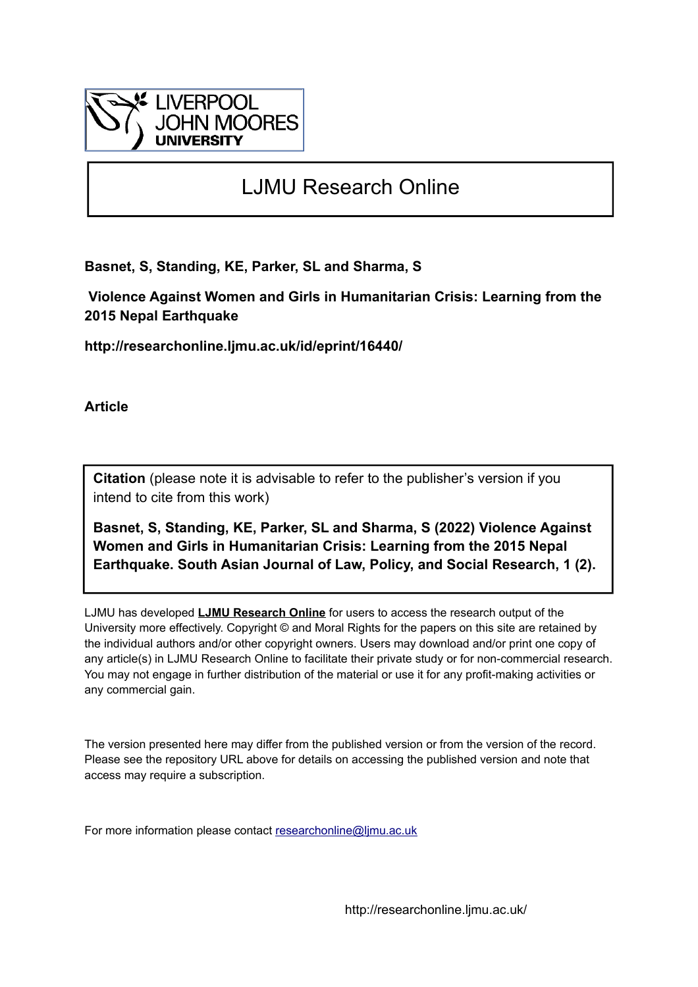

# LJMU Research Online

**Basnet, S, Standing, KE, Parker, SL and Sharma, S**

 **Violence Against Women and Girls in Humanitarian Crisis: Learning from the 2015 Nepal Earthquake**

**http://researchonline.ljmu.ac.uk/id/eprint/16440/**

**Article**

**Citation** (please note it is advisable to refer to the publisher's version if you intend to cite from this work)

**Basnet, S, Standing, KE, Parker, SL and Sharma, S (2022) Violence Against Women and Girls in Humanitarian Crisis: Learning from the 2015 Nepal Earthquake. South Asian Journal of Law, Policy, and Social Research, 1 (2).** 

LJMU has developed **[LJMU Research Online](http://researchonline.ljmu.ac.uk/)** for users to access the research output of the University more effectively. Copyright © and Moral Rights for the papers on this site are retained by the individual authors and/or other copyright owners. Users may download and/or print one copy of any article(s) in LJMU Research Online to facilitate their private study or for non-commercial research. You may not engage in further distribution of the material or use it for any profit-making activities or any commercial gain.

The version presented here may differ from the published version or from the version of the record. Please see the repository URL above for details on accessing the published version and note that access may require a subscription.

For more information please contact [researchonline@ljmu.ac.uk](mailto:researchonline@ljmu.ac.uk)

http://researchonline.ljmu.ac.uk/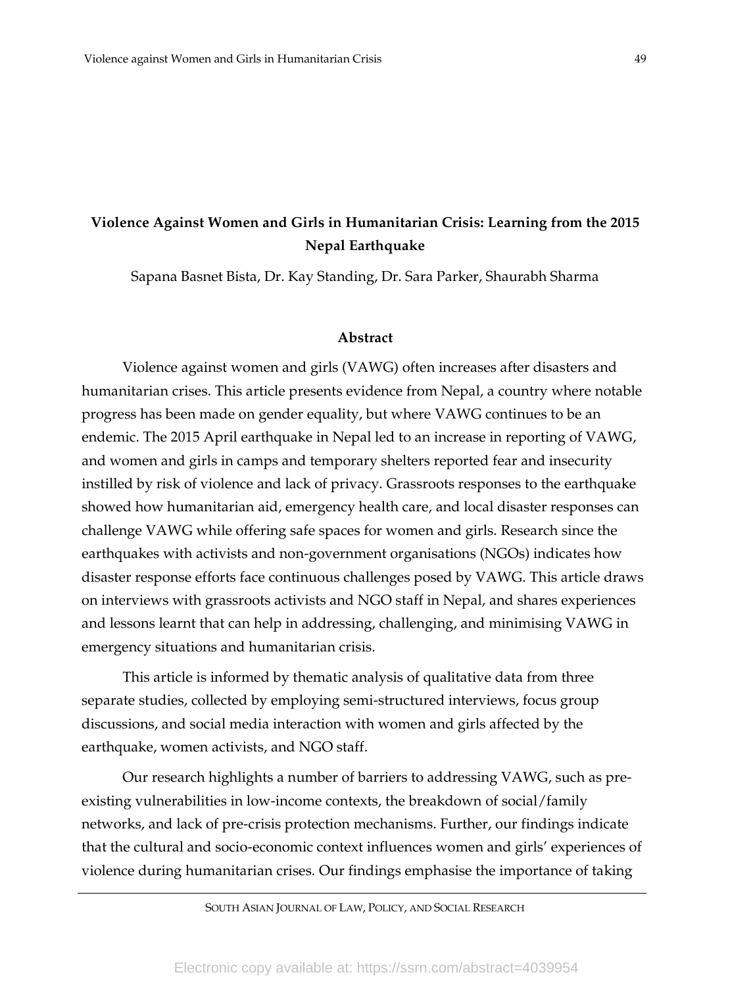# **Violence Against Women and Girls in Humanitarian Crisis: Learning from the 2015 Nepal Earthquake**

Sapana Basnet Bista, Dr. Kay Standing, Dr. Sara Parker, Shaurabh Sharma

#### **Abstract**

Violence against women and girls (VAWG) often increases after disasters and humanitarian crises. This article presents evidence from Nepal, a country where notable progress has been made on gender equality, but where VAWG continues to be an endemic. The 2015 April earthquake in Nepal led to an increase in reporting of VAWG, and women and girls in camps and temporary shelters reported fear and insecurity instilled by risk of violence and lack of privacy. Grassroots responses to the earthquake showed how humanitarian aid, emergency health care, and local disaster responses can challenge VAWG while offering safe spaces for women and girls. Research since the earthquakes with activists and non-government organisations (NGOs) indicates how disaster response efforts face continuous challenges posed by VAWG. This article draws on interviews with grassroots activists and NGO staff in Nepal, and shares experiences and lessons learnt that can help in addressing, challenging, and minimising VAWG in emergency situations and humanitarian crisis.

This article is informed by thematic analysis of qualitative data from three separate studies, collected by employing semi-structured interviews, focus group discussions, and social media interaction with women and girls affected by the earthquake, women activists, and NGO staff.

Our research highlights a number of barriers to addressing VAWG, such as preexisting vulnerabilities in low-income contexts, the breakdown of social/family networks, and lack of pre-crisis protection mechanisms. Further, our findings indicate that the cultural and socio-economic context influences women and girls' experiences of violence during humanitarian crises. Our findings emphasise the importance of taking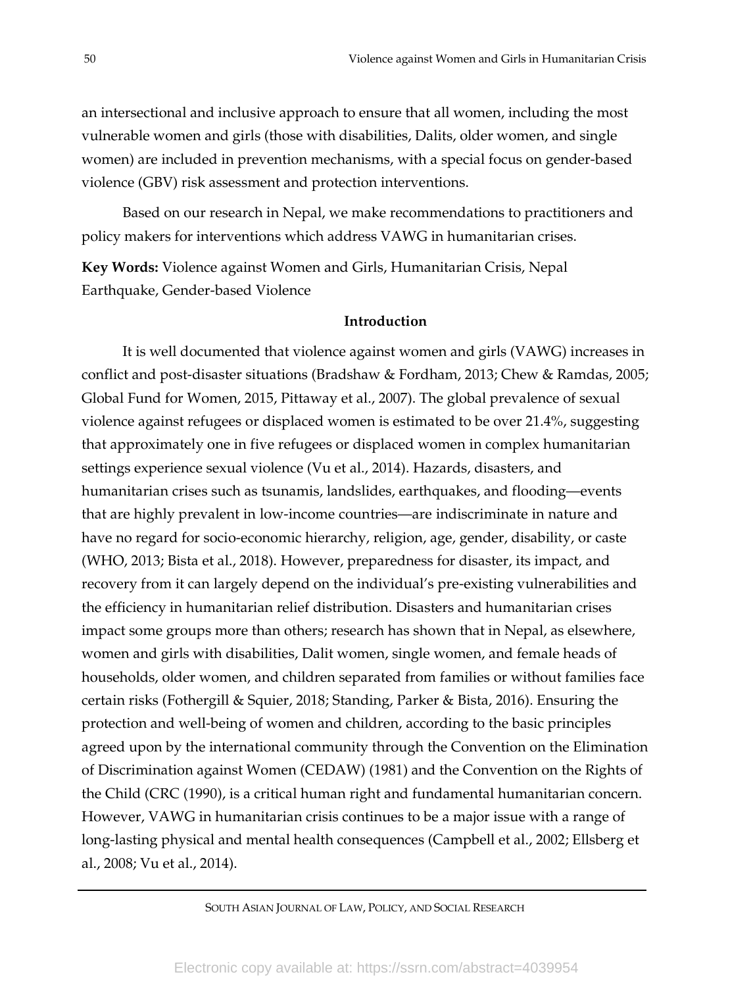an intersectional and inclusive approach to ensure that all women, including the most vulnerable women and girls (those with disabilities, Dalits, older women, and single women) are included in prevention mechanisms, with a special focus on gender-based violence (GBV) risk assessment and protection interventions.

Based on our research in Nepal, we make recommendations to practitioners and policy makers for interventions which address VAWG in humanitarian crises.

**Key Words:** Violence against Women and Girls, Humanitarian Crisis, Nepal Earthquake, Gender-based Violence

# **Introduction**

It is well documented that violence against women and girls (VAWG) increases in conflict and post-disaster situations (Bradshaw & Fordham, 2013; Chew & Ramdas, 2005; Global Fund for Women, 2015, Pittaway et al., 2007). The global prevalence of sexual violence against refugees or displaced women is estimated to be over 21.4%, suggesting that approximately one in five refugees or displaced women in complex humanitarian settings experience sexual violence (Vu et al., 2014). Hazards, disasters, and humanitarian crises such as tsunamis, landslides, earthquakes, and flooding—events that are highly prevalent in low-income countries—are indiscriminate in nature and have no regard for socio-economic hierarchy, religion, age, gender, disability, or caste (WHO, 2013; Bista et al., 2018). However, preparedness for disaster, its impact, and recovery from it can largely depend on the individual's pre-existing vulnerabilities and the efficiency in humanitarian relief distribution. Disasters and humanitarian crises impact some groups more than others; research has shown that in Nepal, as elsewhere, women and girls with disabilities, Dalit women, single women, and female heads of households, older women, and children separated from families or without families face certain risks (Fothergill & Squier, 2018; Standing, Parker & Bista, 2016). Ensuring the protection and well-being of women and children, according to the basic principles agreed upon by the international community through the Convention on the Elimination of Discrimination against Women (CEDAW) (1981) and the Convention on the Rights of the Child (CRC (1990), is a critical human right and fundamental humanitarian concern. However, VAWG in humanitarian crisis continues to be a major issue with a range of long-lasting physical and mental health consequences (Campbell et al., 2002; Ellsberg et al., 2008; Vu et al., 2014).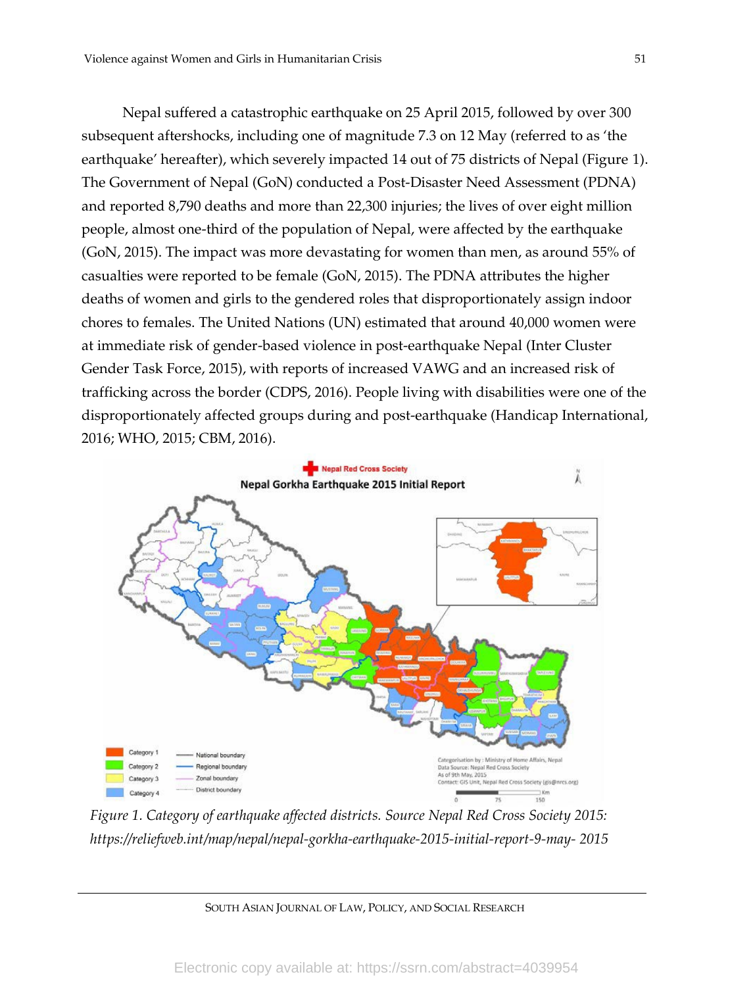Nepal suffered a catastrophic earthquake on 25 April 2015, followed by over 300 subsequent aftershocks, including one of magnitude 7.3 on 12 May (referred to as 'the earthquake' hereafter), which severely impacted 14 out of 75 districts of Nepal (Figure 1). The Government of Nepal (GoN) conducted a Post-Disaster Need Assessment (PDNA) and reported 8,790 deaths and more than 22,300 injuries; the lives of over eight million people, almost one-third of the population of Nepal, were affected by the earthquake (GoN, 2015). The impact was more devastating for women than men, as around 55% of casualties were reported to be female (GoN, 2015). The PDNA attributes the higher deaths of women and girls to the gendered roles that disproportionately assign indoor chores to females. The United Nations (UN) estimated that around 40,000 women were at immediate risk of gender-based violence in post-earthquake Nepal (Inter Cluster Gender Task Force, 2015), with reports of increased VAWG and an increased risk of trafficking across the border (CDPS, 2016). People living with disabilities were one of the disproportionately affected groups during and post-earthquake (Handicap International, 2016; WHO, 2015; CBM, 2016).



*Figure 1. Category of earthquake affected districts. Source Nepal Red Cross Society 2015: https://reliefweb.int/map/nepal/nepal-gorkha-earthquake-2015-initial-report-9-may- 2015*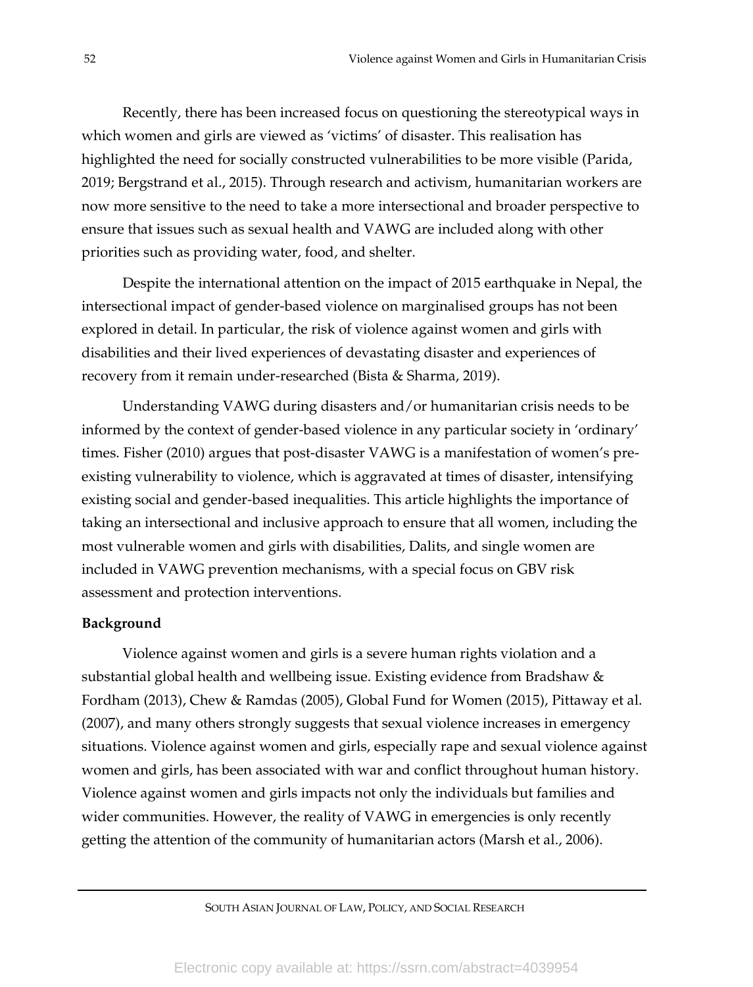Recently, there has been increased focus on questioning the stereotypical ways in which women and girls are viewed as 'victims' of disaster. This realisation has highlighted the need for socially constructed vulnerabilities to be more visible (Parida, 2019; Bergstrand et al., 2015). Through research and activism, humanitarian workers are now more sensitive to the need to take a more intersectional and broader perspective to ensure that issues such as sexual health and VAWG are included along with other priorities such as providing water, food, and shelter.

Despite the international attention on the impact of 2015 earthquake in Nepal, the intersectional impact of gender-based violence on marginalised groups has not been explored in detail. In particular, the risk of violence against women and girls with disabilities and their lived experiences of devastating disaster and experiences of recovery from it remain under-researched (Bista & Sharma, 2019).

Understanding VAWG during disasters and/or humanitarian crisis needs to be informed by the context of gender-based violence in any particular society in 'ordinary' times. Fisher (2010) argues that post-disaster VAWG is a manifestation of women's preexisting vulnerability to violence, which is aggravated at times of disaster, intensifying existing social and gender-based inequalities. This article highlights the importance of taking an intersectional and inclusive approach to ensure that all women, including the most vulnerable women and girls with disabilities, Dalits, and single women are included in VAWG prevention mechanisms, with a special focus on GBV risk assessment and protection interventions.

#### **Background**

Violence against women and girls is a severe human rights violation and a substantial global health and wellbeing issue. Existing evidence from Bradshaw & Fordham (2013), Chew & Ramdas (2005), Global Fund for Women (2015), Pittaway et al. (2007), and many others strongly suggests that sexual violence increases in emergency situations. Violence against women and girls, especially rape and sexual violence against women and girls, has been associated with war and conflict throughout human history. Violence against women and girls impacts not only the individuals but families and wider communities. However, the reality of VAWG in emergencies is only recently getting the attention of the community of humanitarian actors (Marsh et al., 2006).

SOUTH ASIAN JOURNAL OF LAW, POLICY, AND SOCIAL RESEARCH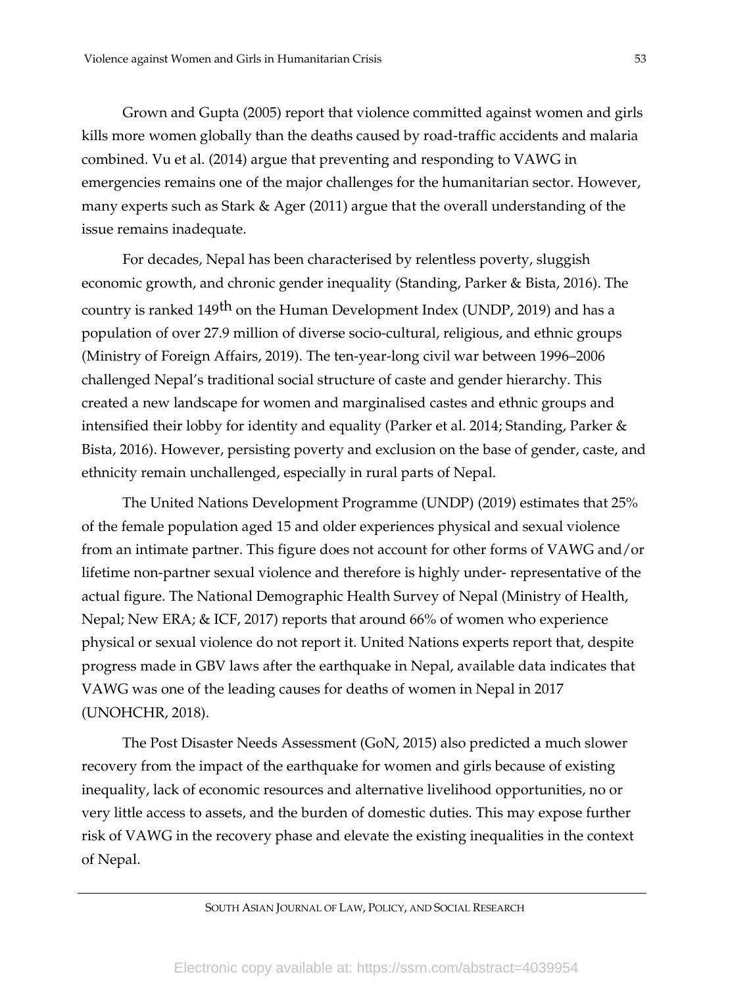Grown and Gupta (2005) report that violence committed against women and girls kills more women globally than the deaths caused by road-traffic accidents and malaria combined. Vu et al. (2014) argue that preventing and responding to VAWG in emergencies remains one of the major challenges for the humanitarian sector. However, many experts such as Stark & Ager (2011) argue that the overall understanding of the issue remains inadequate.

For decades, Nepal has been characterised by relentless poverty, sluggish economic growth, and chronic gender inequality (Standing, Parker & Bista, 2016). The country is ranked 149<sup>th</sup> on the Human Development Index (UNDP, 2019) and has a population of over 27.9 million of diverse socio-cultural, religious, and ethnic groups (Ministry of Foreign Affairs, 2019). The ten-year-long civil war between 1996–2006 challenged Nepal's traditional social structure of caste and gender hierarchy. This created a new landscape for women and marginalised castes and ethnic groups and intensified their lobby for identity and equality (Parker et al. 2014; Standing, Parker & Bista, 2016). However, persisting poverty and exclusion on the base of gender, caste, and ethnicity remain unchallenged, especially in rural parts of Nepal.

The United Nations Development Programme (UNDP) (2019) estimates that 25% of the female population aged 15 and older experiences physical and sexual violence from an intimate partner. This figure does not account for other forms of VAWG and/or lifetime non-partner sexual violence and therefore is highly under- representative of the actual figure. The National Demographic Health Survey of Nepal (Ministry of Health, Nepal; New ERA; & ICF, 2017) reports that around 66% of women who experience physical or sexual violence do not report it. United Nations experts report that, despite progress made in GBV laws after the earthquake in Nepal, available data indicates that VAWG was one of the leading causes for deaths of women in Nepal in 2017 (UNOHCHR, 2018).

The Post Disaster Needs Assessment (GoN, 2015) also predicted a much slower recovery from the impact of the earthquake for women and girls because of existing inequality, lack of economic resources and alternative livelihood opportunities, no or very little access to assets, and the burden of domestic duties. This may expose further risk of VAWG in the recovery phase and elevate the existing inequalities in the context of Nepal.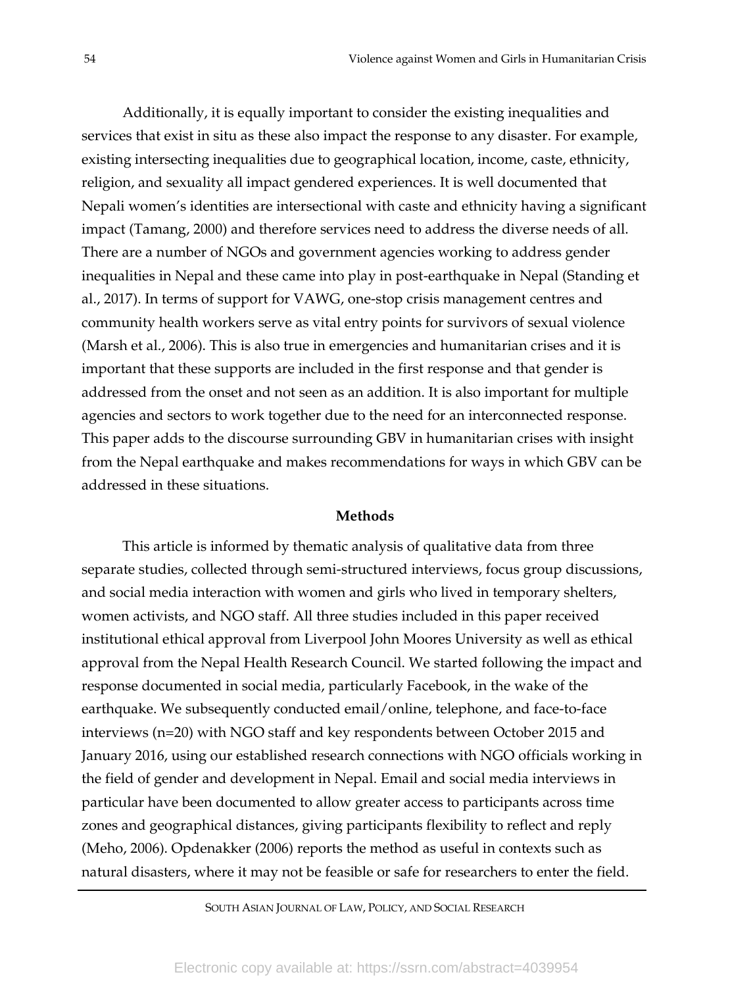Additionally, it is equally important to consider the existing inequalities and services that exist in situ as these also impact the response to any disaster. For example, existing intersecting inequalities due to geographical location, income, caste, ethnicity, religion, and sexuality all impact gendered experiences. It is well documented that Nepali women's identities are intersectional with caste and ethnicity having a significant impact (Tamang, 2000) and therefore services need to address the diverse needs of all. There are a number of NGOs and government agencies working to address gender inequalities in Nepal and these came into play in post-earthquake in Nepal (Standing et al., 2017). In terms of support for VAWG, one-stop crisis management centres and community health workers serve as vital entry points for survivors of sexual violence (Marsh et al., 2006). This is also true in emergencies and humanitarian crises and it is important that these supports are included in the first response and that gender is addressed from the onset and not seen as an addition. It is also important for multiple agencies and sectors to work together due to the need for an interconnected response. This paper adds to the discourse surrounding GBV in humanitarian crises with insight from the Nepal earthquake and makes recommendations for ways in which GBV can be addressed in these situations.

#### **Methods**

This article is informed by thematic analysis of qualitative data from three separate studies, collected through semi-structured interviews, focus group discussions, and social media interaction with women and girls who lived in temporary shelters, women activists, and NGO staff. All three studies included in this paper received institutional ethical approval from Liverpool John Moores University as well as ethical approval from the Nepal Health Research Council. We started following the impact and response documented in social media, particularly Facebook, in the wake of the earthquake. We subsequently conducted email/online, telephone, and face-to-face interviews (n=20) with NGO staff and key respondents between October 2015 and January 2016, using our established research connections with NGO officials working in the field of gender and development in Nepal. Email and social media interviews in particular have been documented to allow greater access to participants across time zones and geographical distances, giving participants flexibility to reflect and reply (Meho, 2006). Opdenakker (2006) reports the method as useful in contexts such as natural disasters, where it may not be feasible or safe for researchers to enter the field.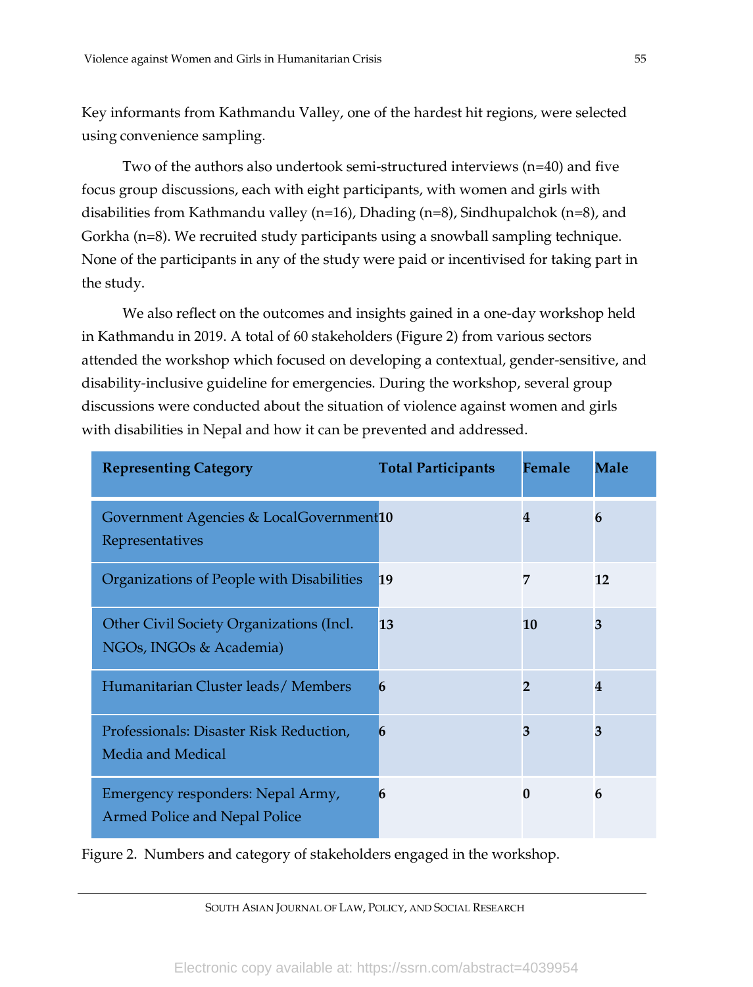Key informants from Kathmandu Valley, one of the hardest hit regions, were selected using convenience sampling.

Two of the authors also undertook semi-structured interviews (n=40) and five focus group discussions, each with eight participants, with women and girls with disabilities from Kathmandu valley (n=16), Dhading (n=8), Sindhupalchok (n=8), and Gorkha (n=8). We recruited study participants using a snowball sampling technique. None of the participants in any of the study were paid or incentivised for taking part in the study.

We also reflect on the outcomes and insights gained in a one-day workshop held in Kathmandu in 2019. A total of 60 stakeholders (Figure 2) from various sectors attended the workshop which focused on developing a contextual, gender-sensitive, and disability-inclusive guideline for emergencies. During the workshop, several group discussions were conducted about the situation of violence against women and girls with disabilities in Nepal and how it can be prevented and addressed.

| <b>Representing Category</b>                                        | <b>Total Participants</b> | Female       | Male |
|---------------------------------------------------------------------|---------------------------|--------------|------|
| Government Agencies & LocalGovernment10<br>Representatives          |                           | 4            | 6    |
| Organizations of People with Disabilities                           | 19                        | 7            | 12   |
| Other Civil Society Organizations (Incl.<br>NGOs, INGOs & Academia) | 13                        | 10           | 3    |
| Humanitarian Cluster leads/Members                                  | 6                         | $\mathbf{2}$ | 4    |
| Professionals: Disaster Risk Reduction,<br>Media and Medical        | 6                         | 3            | 3    |
| Emergency responders: Nepal Army,<br>Armed Police and Nepal Police  | 6                         | $\Omega$     | 6    |

Figure 2. Numbers and category of stakeholders engaged in the workshop.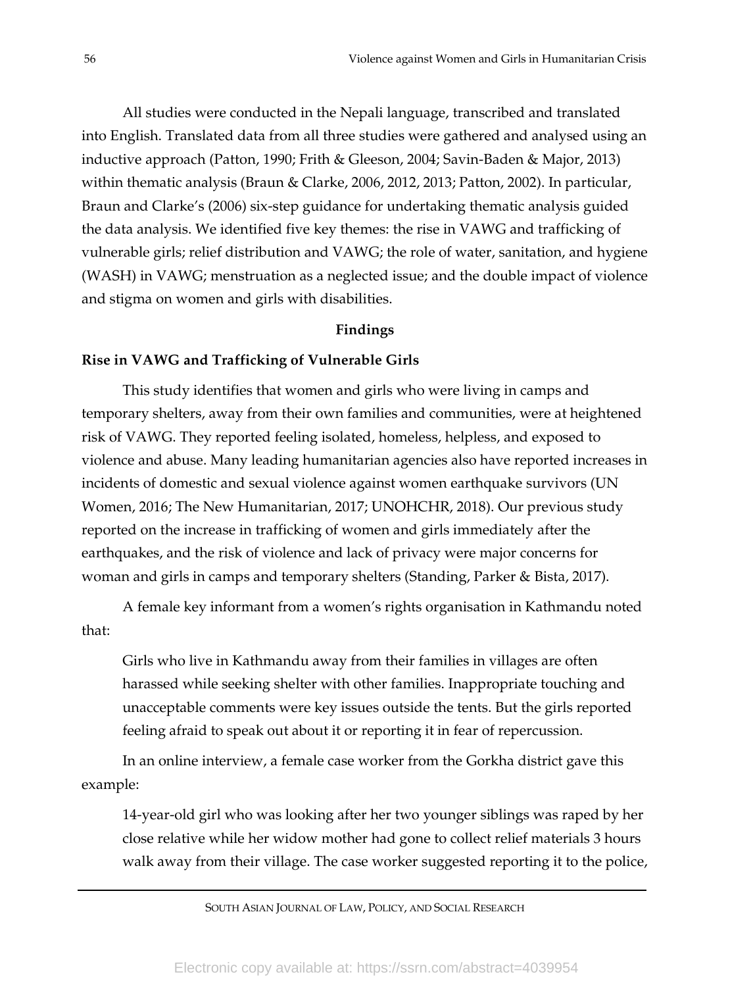All studies were conducted in the Nepali language, transcribed and translated into English. Translated data from all three studies were gathered and analysed using an inductive approach (Patton, 1990; Frith & Gleeson, 2004; Savin-Baden & Major, 2013) within thematic analysis (Braun & Clarke, 2006, 2012, 2013; Patton, 2002). In particular, Braun and Clarke's (2006) six-step guidance for undertaking thematic analysis guided the data analysis. We identified five key themes: the rise in VAWG and trafficking of vulnerable girls; relief distribution and VAWG; the role of water, sanitation, and hygiene (WASH) in VAWG; menstruation as a neglected issue; and the double impact of violence and stigma on women and girls with disabilities.

#### **Findings**

#### **Rise in VAWG and Trafficking of Vulnerable Girls**

This study identifies that women and girls who were living in camps and temporary shelters, away from their own families and communities, were at heightened risk of VAWG. They reported feeling isolated, homeless, helpless, and exposed to violence and abuse. Many leading humanitarian agencies also have reported increases in incidents of domestic and sexual violence against women earthquake survivors (UN Women, 2016; The New Humanitarian, 2017; UNOHCHR, 2018). Our previous study reported on the increase in trafficking of women and girls immediately after the earthquakes, and the risk of violence and lack of privacy were major concerns for woman and girls in camps and temporary shelters (Standing, Parker & Bista, 2017).

A female key informant from a women's rights organisation in Kathmandu noted that:

Girls who live in Kathmandu away from their families in villages are often harassed while seeking shelter with other families. Inappropriate touching and unacceptable comments were key issues outside the tents. But the girls reported feeling afraid to speak out about it or reporting it in fear of repercussion.

In an online interview, a female case worker from the Gorkha district gave this example:

14-year-old girl who was looking after her two younger siblings was raped by her close relative while her widow mother had gone to collect relief materials 3 hours walk away from their village. The case worker suggested reporting it to the police,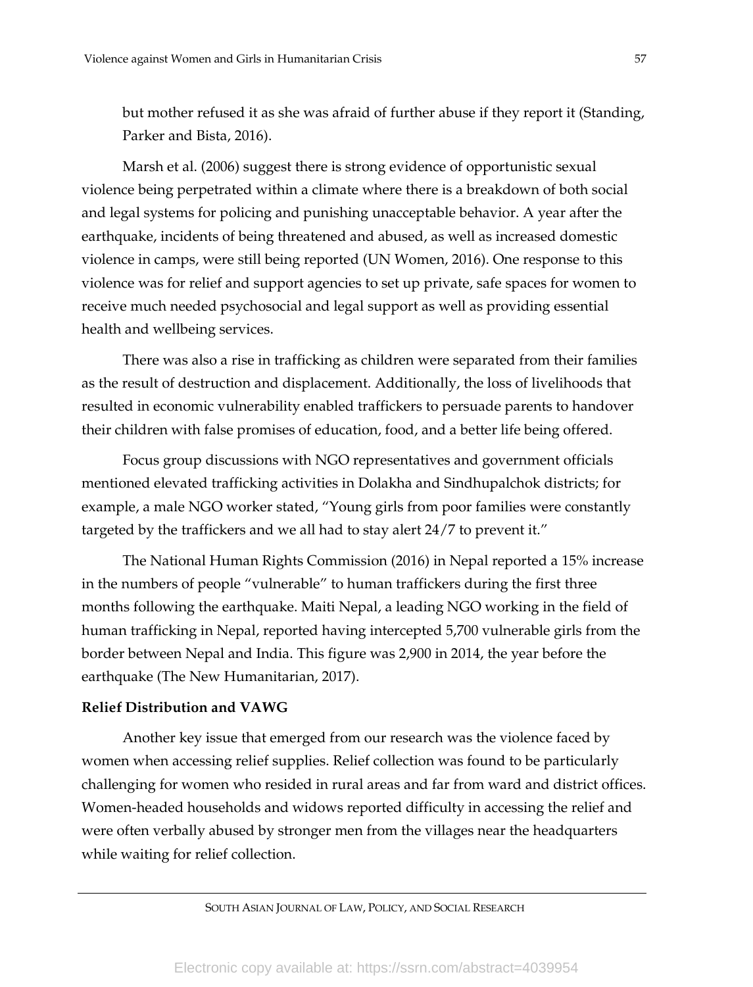but mother refused it as she was afraid of further abuse if they report it (Standing, Parker and Bista, 2016).

Marsh et al. (2006) suggest there is strong evidence of opportunistic sexual violence being perpetrated within a climate where there is a breakdown of both social and legal systems for policing and punishing unacceptable behavior. A year after the earthquake, incidents of being threatened and abused, as well as increased domestic violence in camps, were still being reported (UN Women, 2016). One response to this violence was for relief and support agencies to set up private, safe spaces for women to receive much needed psychosocial and legal support as well as providing essential health and wellbeing services.

There was also a rise in trafficking as children were separated from their families as the result of destruction and displacement. Additionally, the loss of livelihoods that resulted in economic vulnerability enabled traffickers to persuade parents to handover their children with false promises of education, food, and a better life being offered.

Focus group discussions with NGO representatives and government officials mentioned elevated trafficking activities in Dolakha and Sindhupalchok districts; for example, a male NGO worker stated, "Young girls from poor families were constantly targeted by the traffickers and we all had to stay alert 24/7 to prevent it."

The National Human Rights Commission (2016) in Nepal reported a 15% increase in the numbers of people "vulnerable" to human traffickers during the first three months following the earthquake. Maiti Nepal, a leading NGO working in the field of human trafficking in Nepal, reported having intercepted 5,700 vulnerable girls from the border between Nepal and India. This figure was 2,900 in 2014, the year before the earthquake (The New Humanitarian, 2017).

## **Relief Distribution and VAWG**

Another key issue that emerged from our research was the violence faced by women when accessing relief supplies. Relief collection was found to be particularly challenging for women who resided in rural areas and far from ward and district offices. Women-headed households and widows reported difficulty in accessing the relief and were often verbally abused by stronger men from the villages near the headquarters while waiting for relief collection.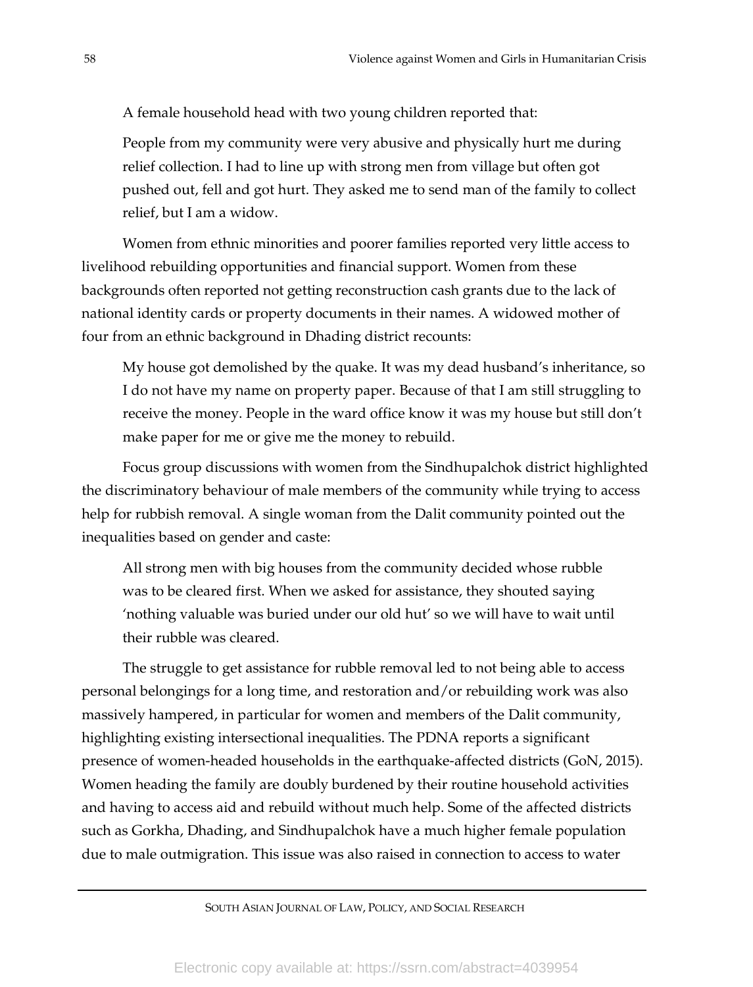A female household head with two young children reported that:

People from my community were very abusive and physically hurt me during relief collection. I had to line up with strong men from village but often got pushed out, fell and got hurt. They asked me to send man of the family to collect relief, but I am a widow.

Women from ethnic minorities and poorer families reported very little access to livelihood rebuilding opportunities and financial support. Women from these backgrounds often reported not getting reconstruction cash grants due to the lack of national identity cards or property documents in their names. A widowed mother of four from an ethnic background in Dhading district recounts:

My house got demolished by the quake. It was my dead husband's inheritance, so I do not have my name on property paper. Because of that I am still struggling to receive the money. People in the ward office know it was my house but still don't make paper for me or give me the money to rebuild.

Focus group discussions with women from the Sindhupalchok district highlighted the discriminatory behaviour of male members of the community while trying to access help for rubbish removal. A single woman from the Dalit community pointed out the inequalities based on gender and caste:

All strong men with big houses from the community decided whose rubble was to be cleared first. When we asked for assistance, they shouted saying 'nothing valuable was buried under our old hut' so we will have to wait until their rubble was cleared.

The struggle to get assistance for rubble removal led to not being able to access personal belongings for a long time, and restoration and/or rebuilding work was also massively hampered, in particular for women and members of the Dalit community, highlighting existing intersectional inequalities. The PDNA reports a significant presence of women-headed households in the earthquake-affected districts (GoN, 2015). Women heading the family are doubly burdened by their routine household activities and having to access aid and rebuild without much help. Some of the affected districts such as Gorkha, Dhading, and Sindhupalchok have a much higher female population due to male outmigration. This issue was also raised in connection to access to water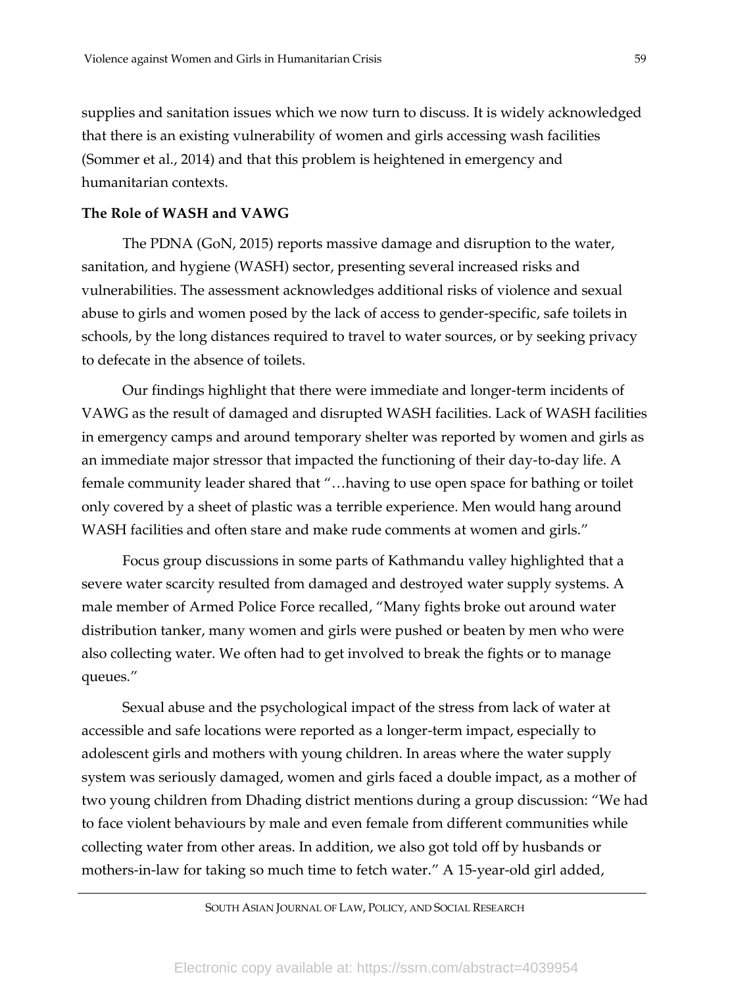supplies and sanitation issues which we now turn to discuss. It is widely acknowledged that there is an existing vulnerability of women and girls accessing wash facilities (Sommer et al., 2014) and that this problem is heightened in emergency and humanitarian contexts.

#### **The Role of WASH and VAWG**

The PDNA (GoN, 2015) reports massive damage and disruption to the water, sanitation, and hygiene (WASH) sector, presenting several increased risks and vulnerabilities. The assessment acknowledges additional risks of violence and sexual abuse to girls and women posed by the lack of access to gender-specific, safe toilets in schools, by the long distances required to travel to water sources, or by seeking privacy to defecate in the absence of toilets.

Our findings highlight that there were immediate and longer-term incidents of VAWG as the result of damaged and disrupted WASH facilities. Lack of WASH facilities in emergency camps and around temporary shelter was reported by women and girls as an immediate major stressor that impacted the functioning of their day-to-day life. A female community leader shared that "…having to use open space for bathing or toilet only covered by a sheet of plastic was a terrible experience. Men would hang around WASH facilities and often stare and make rude comments at women and girls."

Focus group discussions in some parts of Kathmandu valley highlighted that a severe water scarcity resulted from damaged and destroyed water supply systems. A male member of Armed Police Force recalled, "Many fights broke out around water distribution tanker, many women and girls were pushed or beaten by men who were also collecting water. We often had to get involved to break the fights or to manage queues."

Sexual abuse and the psychological impact of the stress from lack of water at accessible and safe locations were reported as a longer-term impact, especially to adolescent girls and mothers with young children. In areas where the water supply system was seriously damaged, women and girls faced a double impact, as a mother of two young children from Dhading district mentions during a group discussion: "We had to face violent behaviours by male and even female from different communities while collecting water from other areas. In addition, we also got told off by husbands or mothers-in-law for taking so much time to fetch water." A 15-year-old girl added,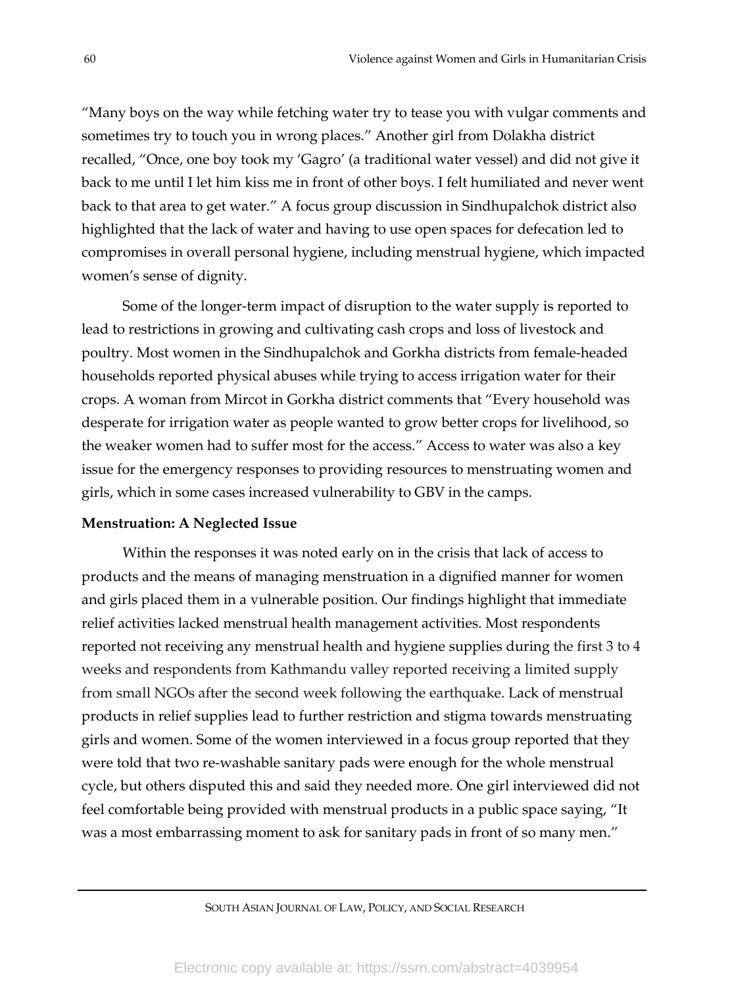"Many boys on the way while fetching water try to tease you with vulgar comments and sometimes try to touch you in wrong places." Another girl from Dolakha district recalled, "Once, one boy took my 'Gagro' (a traditional water vessel) and did not give it back to me until I let him kiss me in front of other boys. I felt humiliated and never went back to that area to get water." A focus group discussion in Sindhupalchok district also highlighted that the lack of water and having to use open spaces for defecation led to compromises in overall personal hygiene, including menstrual hygiene, which impacted women's sense of dignity.

Some of the longer-term impact of disruption to the water supply is reported to lead to restrictions in growing and cultivating cash crops and loss of livestock and poultry. Most women in the Sindhupalchok and Gorkha districts from female-headed households reported physical abuses while trying to access irrigation water for their crops. A woman from Mircot in Gorkha district comments that "Every household was desperate for irrigation water as people wanted to grow better crops for livelihood, so the weaker women had to suffer most for the access." Access to water was also a key issue for the emergency responses to providing resources to menstruating women and girls, which in some cases increased vulnerability to GBV in the camps.

#### **Menstruation: A Neglected Issue**

Within the responses it was noted early on in the crisis that lack of access to products and the means of managing menstruation in a dignified manner for women and girls placed them in a vulnerable position. Our findings highlight that immediate relief activities lacked menstrual health management activities. Most respondents reported not receiving any menstrual health and hygiene supplies during the first 3 to 4 weeks and respondents from Kathmandu valley reported receiving a limited supply from small NGOs after the second week following the earthquake. Lack of menstrual products in relief supplies lead to further restriction and stigma towards menstruating girls and women. Some of the women interviewed in a focus group reported that they were told that two re-washable sanitary pads were enough for the whole menstrual cycle, but others disputed this and said they needed more. One girl interviewed did not feel comfortable being provided with menstrual products in a public space saying, "It was a most embarrassing moment to ask for sanitary pads in front of so many men."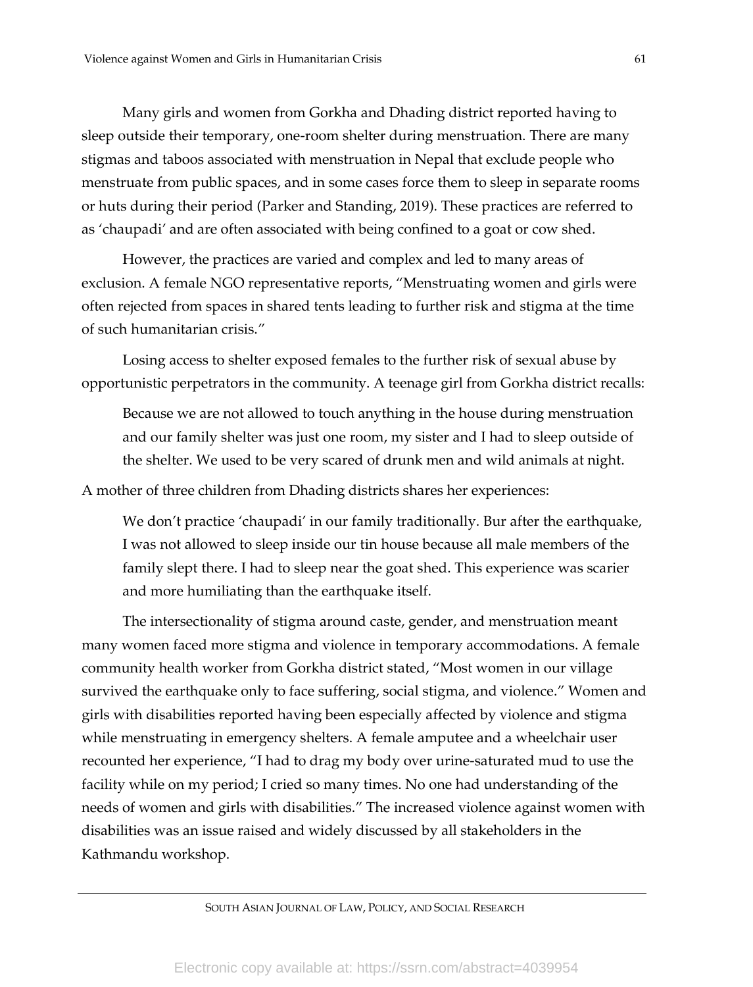Many girls and women from Gorkha and Dhading district reported having to sleep outside their temporary, one-room shelter during menstruation. There are many stigmas and taboos associated with menstruation in Nepal that exclude people who menstruate from public spaces, and in some cases force them to sleep in separate rooms or huts during their period (Parker and Standing, 2019). These practices are referred to as 'chaupadi' and are often associated with being confined to a goat or cow shed.

However, the practices are varied and complex and led to many areas of exclusion. A female NGO representative reports, "Menstruating women and girls were often rejected from spaces in shared tents leading to further risk and stigma at the time of such humanitarian crisis."

Losing access to shelter exposed females to the further risk of sexual abuse by opportunistic perpetrators in the community. A teenage girl from Gorkha district recalls:

Because we are not allowed to touch anything in the house during menstruation and our family shelter was just one room, my sister and I had to sleep outside of the shelter. We used to be very scared of drunk men and wild animals at night.

A mother of three children from Dhading districts shares her experiences:

We don't practice 'chaupadi' in our family traditionally. Bur after the earthquake, I was not allowed to sleep inside our tin house because all male members of the family slept there. I had to sleep near the goat shed. This experience was scarier and more humiliating than the earthquake itself.

The intersectionality of stigma around caste, gender, and menstruation meant many women faced more stigma and violence in temporary accommodations. A female community health worker from Gorkha district stated, "Most women in our village survived the earthquake only to face suffering, social stigma, and violence." Women and girls with disabilities reported having been especially affected by violence and stigma while menstruating in emergency shelters. A female amputee and a wheelchair user recounted her experience, "I had to drag my body over urine-saturated mud to use the facility while on my period; I cried so many times. No one had understanding of the needs of women and girls with disabilities." The increased violence against women with disabilities was an issue raised and widely discussed by all stakeholders in the Kathmandu workshop.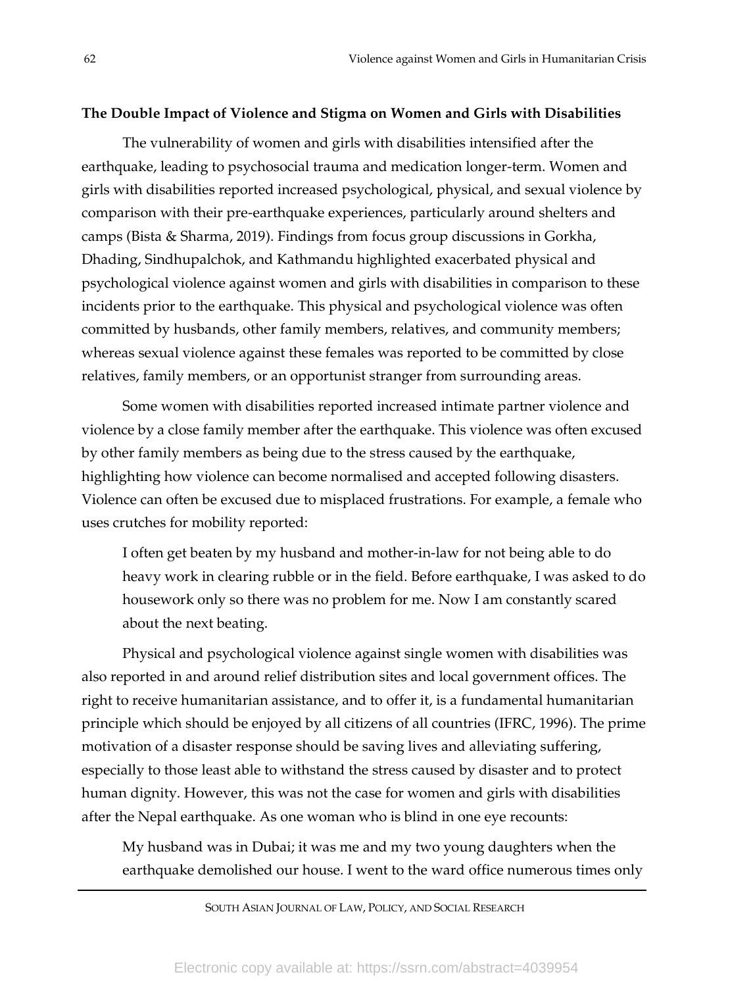#### **The Double Impact of Violence and Stigma on Women and Girls with Disabilities**

The vulnerability of women and girls with disabilities intensified after the earthquake, leading to psychosocial trauma and medication longer-term. Women and girls with disabilities reported increased psychological, physical, and sexual violence by comparison with their pre-earthquake experiences, particularly around shelters and camps (Bista & Sharma, 2019). Findings from focus group discussions in Gorkha, Dhading, Sindhupalchok, and Kathmandu highlighted exacerbated physical and psychological violence against women and girls with disabilities in comparison to these incidents prior to the earthquake. This physical and psychological violence was often committed by husbands, other family members, relatives, and community members; whereas sexual violence against these females was reported to be committed by close relatives, family members, or an opportunist stranger from surrounding areas.

Some women with disabilities reported increased intimate partner violence and violence by a close family member after the earthquake. This violence was often excused by other family members as being due to the stress caused by the earthquake, highlighting how violence can become normalised and accepted following disasters. Violence can often be excused due to misplaced frustrations. For example, a female who uses crutches for mobility reported:

I often get beaten by my husband and mother-in-law for not being able to do heavy work in clearing rubble or in the field. Before earthquake, I was asked to do housework only so there was no problem for me. Now I am constantly scared about the next beating.

Physical and psychological violence against single women with disabilities was also reported in and around relief distribution sites and local government offices. The right to receive humanitarian assistance, and to offer it, is a fundamental humanitarian principle which should be enjoyed by all citizens of all countries (IFRC, 1996). The prime motivation of a disaster response should be saving lives and alleviating suffering, especially to those least able to withstand the stress caused by disaster and to protect human dignity. However, this was not the case for women and girls with disabilities after the Nepal earthquake. As one woman who is blind in one eye recounts:

My husband was in Dubai; it was me and my two young daughters when the earthquake demolished our house. I went to the ward office numerous times only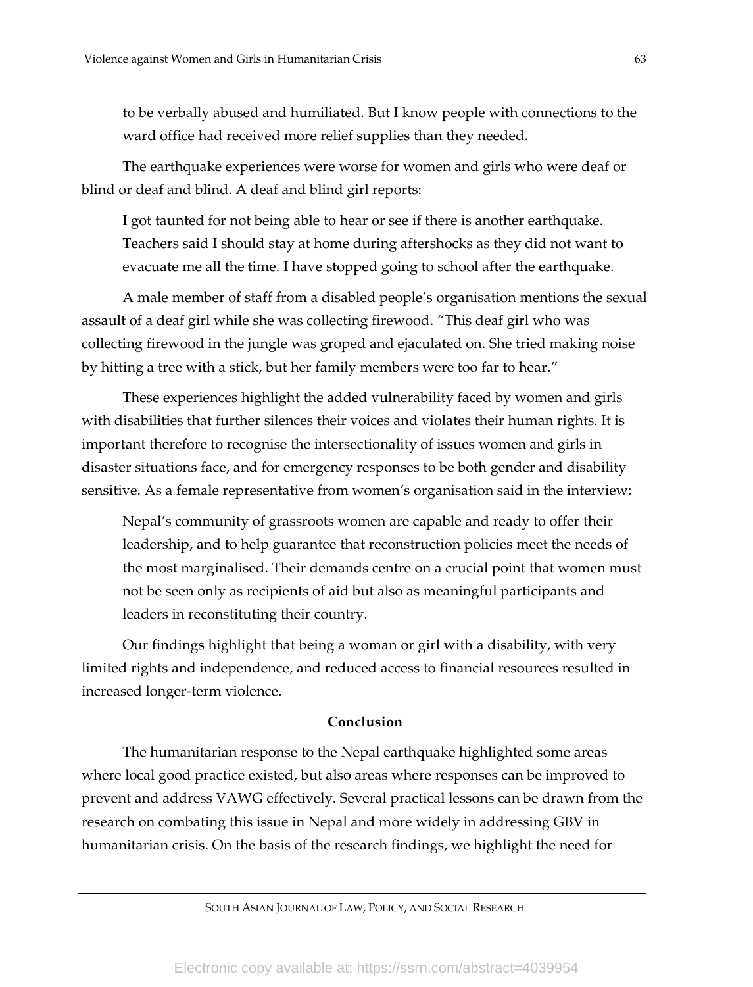to be verbally abused and humiliated. But I know people with connections to the ward office had received more relief supplies than they needed.

The earthquake experiences were worse for women and girls who were deaf or blind or deaf and blind. A deaf and blind girl reports:

I got taunted for not being able to hear or see if there is another earthquake. Teachers said I should stay at home during aftershocks as they did not want to evacuate me all the time. I have stopped going to school after the earthquake.

A male member of staff from a disabled people's organisation mentions the sexual assault of a deaf girl while she was collecting firewood. "This deaf girl who was collecting firewood in the jungle was groped and ejaculated on. She tried making noise by hitting a tree with a stick, but her family members were too far to hear."

These experiences highlight the added vulnerability faced by women and girls with disabilities that further silences their voices and violates their human rights. It is important therefore to recognise the intersectionality of issues women and girls in disaster situations face, and for emergency responses to be both gender and disability sensitive. As a female representative from women's organisation said in the interview:

Nepal's community of grassroots women are capable and ready to offer their leadership, and to help guarantee that reconstruction policies meet the needs of the most marginalised. Their demands centre on a crucial point that women must not be seen only as recipients of aid but also as meaningful participants and leaders in reconstituting their country.

Our findings highlight that being a woman or girl with a disability, with very limited rights and independence, and reduced access to financial resources resulted in increased longer-term violence.

# **Conclusion**

The humanitarian response to the Nepal earthquake highlighted some areas where local good practice existed, but also areas where responses can be improved to prevent and address VAWG effectively. Several practical lessons can be drawn from the research on combating this issue in Nepal and more widely in addressing GBV in humanitarian crisis. On the basis of the research findings, we highlight the need for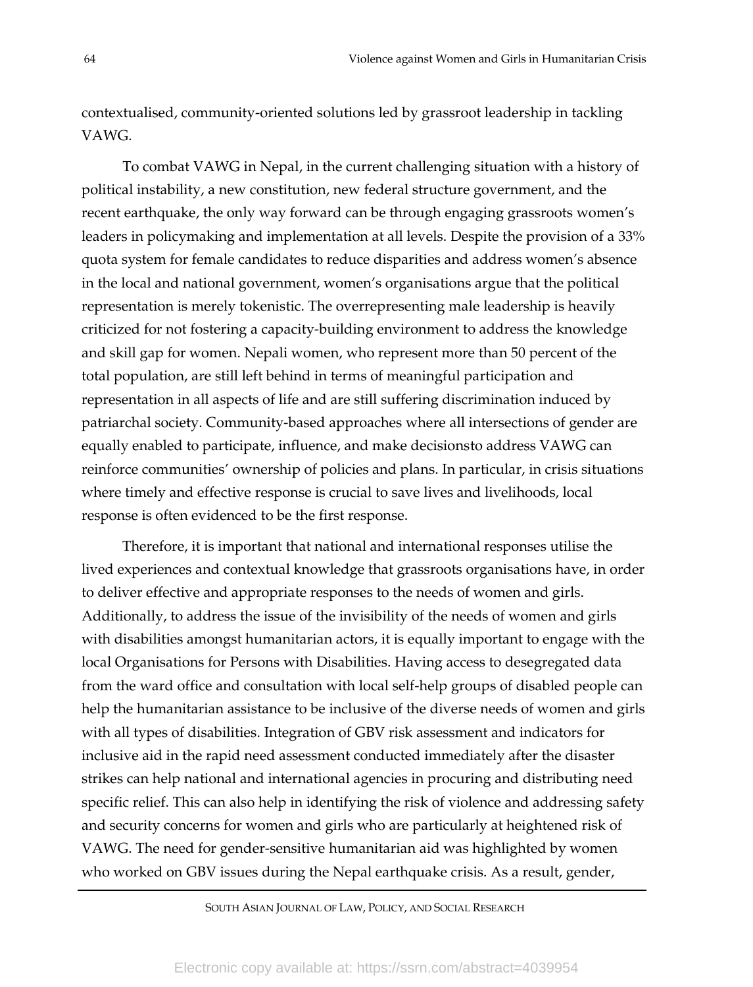contextualised, community-oriented solutions led by grassroot leadership in tackling VAWG.

To combat VAWG in Nepal, in the current challenging situation with a history of political instability, a new constitution, new federal structure government, and the recent earthquake, the only way forward can be through engaging grassroots women's leaders in policymaking and implementation at all levels. Despite the provision of a 33% quota system for female candidates to reduce disparities and address women's absence in the local and national government, women's organisations argue that the political representation is merely tokenistic. The overrepresenting male leadership is heavily criticized for not fostering a capacity-building environment to address the knowledge and skill gap for women. Nepali women, who represent more than 50 percent of the total population, are still left behind in terms of meaningful participation and representation in all aspects of life and are still suffering discrimination induced by patriarchal society. Community-based approaches where all intersections of gender are equally enabled to participate, influence, and make decisionsto address VAWG can reinforce communities' ownership of policies and plans. In particular, in crisis situations where timely and effective response is crucial to save lives and livelihoods, local response is often evidenced to be the first response.

Therefore, it is important that national and international responses utilise the lived experiences and contextual knowledge that grassroots organisations have, in order to deliver effective and appropriate responses to the needs of women and girls. Additionally, to address the issue of the invisibility of the needs of women and girls with disabilities amongst humanitarian actors, it is equally important to engage with the local Organisations for Persons with Disabilities. Having access to desegregated data from the ward office and consultation with local self-help groups of disabled people can help the humanitarian assistance to be inclusive of the diverse needs of women and girls with all types of disabilities. Integration of GBV risk assessment and indicators for inclusive aid in the rapid need assessment conducted immediately after the disaster strikes can help national and international agencies in procuring and distributing need specific relief. This can also help in identifying the risk of violence and addressing safety and security concerns for women and girls who are particularly at heightened risk of VAWG. The need for gender-sensitive humanitarian aid was highlighted by women who worked on GBV issues during the Nepal earthquake crisis. As a result, gender,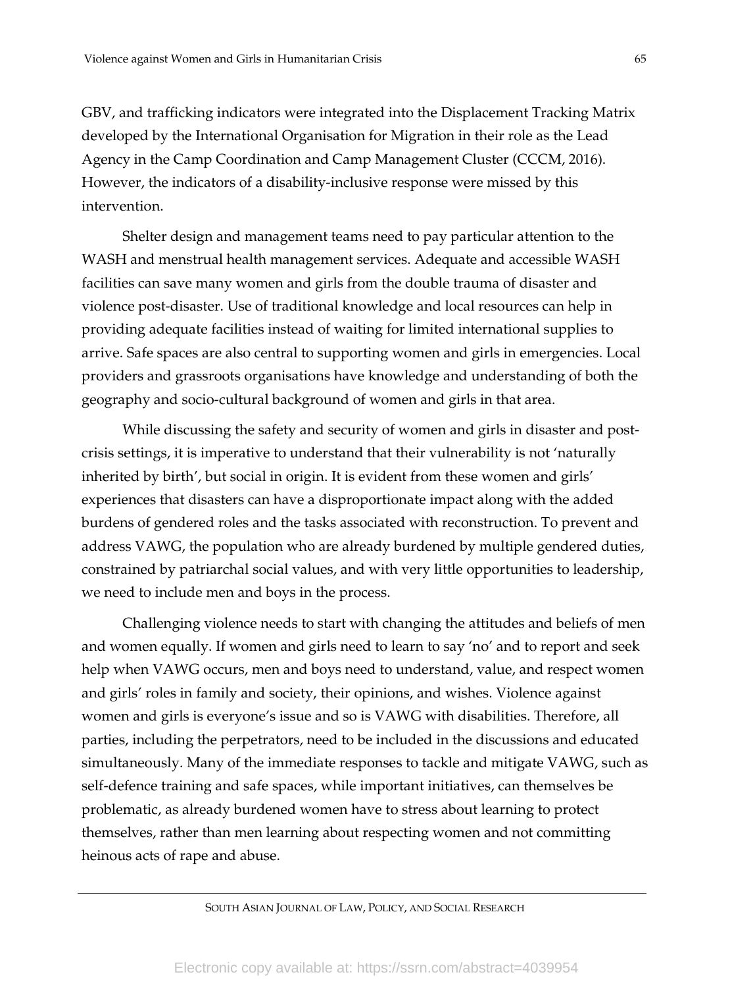GBV, and trafficking indicators were integrated into the Displacement Tracking Matrix developed by the International Organisation for Migration in their role as the Lead Agency in the Camp Coordination and Camp Management Cluster (CCCM, 2016). However, the indicators of a disability-inclusive response were missed by this intervention.

Shelter design and management teams need to pay particular attention to the WASH and menstrual health management services. Adequate and accessible WASH facilities can save many women and girls from the double trauma of disaster and violence post-disaster. Use of traditional knowledge and local resources can help in providing adequate facilities instead of waiting for limited international supplies to arrive. Safe spaces are also central to supporting women and girls in emergencies. Local providers and grassroots organisations have knowledge and understanding of both the geography and socio-cultural background of women and girls in that area.

While discussing the safety and security of women and girls in disaster and postcrisis settings, it is imperative to understand that their vulnerability is not 'naturally inherited by birth', but social in origin. It is evident from these women and girls' experiences that disasters can have a disproportionate impact along with the added burdens of gendered roles and the tasks associated with reconstruction. To prevent and address VAWG, the population who are already burdened by multiple gendered duties, constrained by patriarchal social values, and with very little opportunities to leadership, we need to include men and boys in the process.

Challenging violence needs to start with changing the attitudes and beliefs of men and women equally. If women and girls need to learn to say 'no' and to report and seek help when VAWG occurs, men and boys need to understand, value, and respect women and girls' roles in family and society, their opinions, and wishes. Violence against women and girls is everyone's issue and so is VAWG with disabilities. Therefore, all parties, including the perpetrators, need to be included in the discussions and educated simultaneously. Many of the immediate responses to tackle and mitigate VAWG, such as self-defence training and safe spaces, while important initiatives, can themselves be problematic, as already burdened women have to stress about learning to protect themselves, rather than men learning about respecting women and not committing heinous acts of rape and abuse.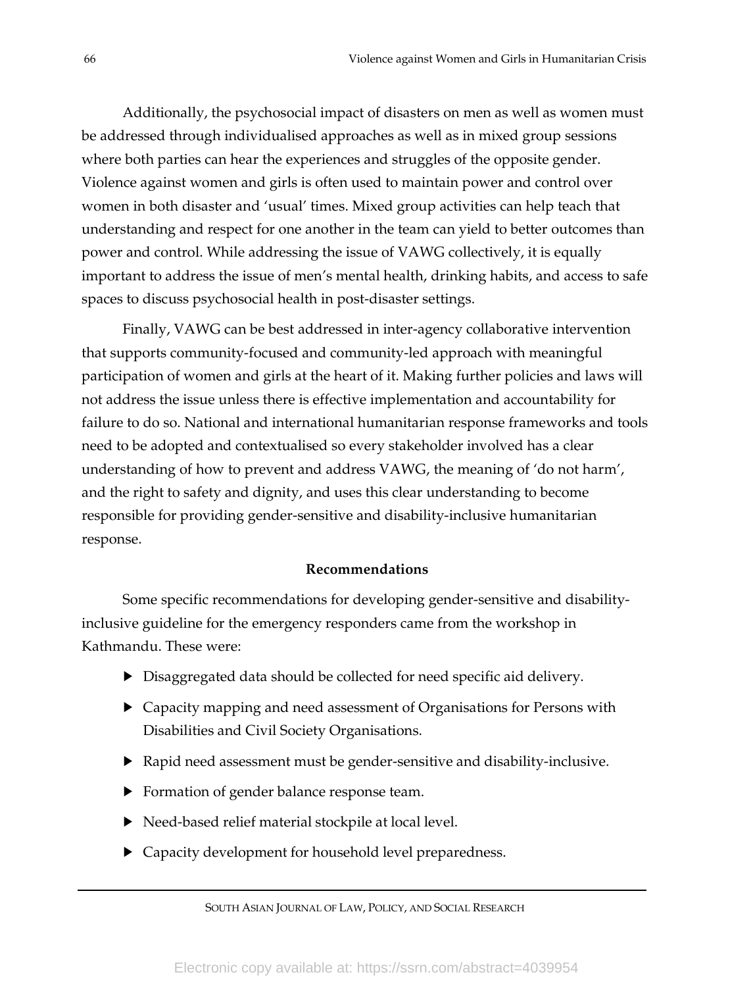Additionally, the psychosocial impact of disasters on men as well as women must be addressed through individualised approaches as well as in mixed group sessions where both parties can hear the experiences and struggles of the opposite gender. Violence against women and girls is often used to maintain power and control over women in both disaster and 'usual' times. Mixed group activities can help teach that understanding and respect for one another in the team can yield to better outcomes than power and control. While addressing the issue of VAWG collectively, it is equally important to address the issue of men's mental health, drinking habits, and access to safe spaces to discuss psychosocial health in post-disaster settings.

Finally, VAWG can be best addressed in inter-agency collaborative intervention that supports community-focused and community-led approach with meaningful participation of women and girls at the heart of it. Making further policies and laws will not address the issue unless there is effective implementation and accountability for failure to do so. National and international humanitarian response frameworks and tools need to be adopted and contextualised so every stakeholder involved has a clear understanding of how to prevent and address VAWG, the meaning of 'do not harm', and the right to safety and dignity, and uses this clear understanding to become responsible for providing gender-sensitive and disability-inclusive humanitarian response.

## **Recommendations**

Some specific recommendations for developing gender-sensitive and disabilityinclusive guideline for the emergency responders came from the workshop in Kathmandu. These were:

- $\blacktriangleright$  Disaggregated data should be collected for need specific aid delivery.
- Capacity mapping and need assessment of Organisations for Persons with Disabilities and Civil Society Organisations.
- $\blacktriangleright$  Rapid need assessment must be gender-sensitive and disability-inclusive.
- $\blacktriangleright$  Formation of gender balance response team.
- $\blacktriangleright$  Need-based relief material stockpile at local level.
- $\blacktriangleright$  Capacity development for household level preparedness.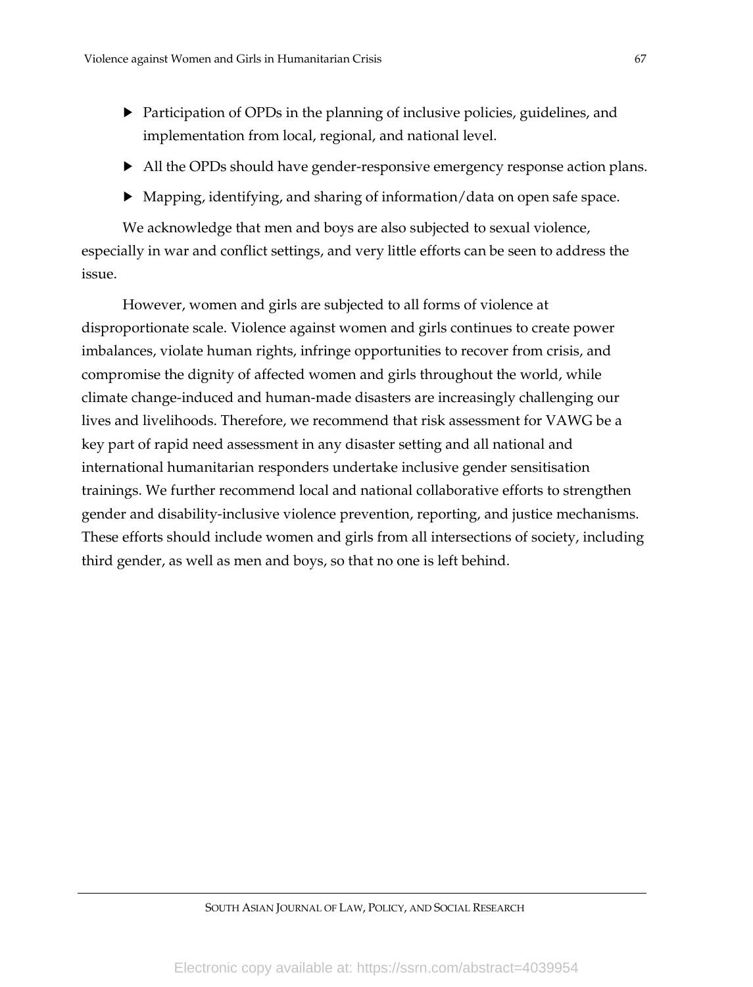- $\blacktriangleright$  Participation of OPDs in the planning of inclusive policies, guidelines, and implementation from local, regional, and national level.
- $\blacktriangleright$  All the OPDs should have gender-responsive emergency response action plans.
- $\blacktriangleright$  Mapping, identifying, and sharing of information/data on open safe space.

We acknowledge that men and boys are also subjected to sexual violence, especially in war and conflict settings, and very little efforts can be seen to address the issue.

However, women and girls are subjected to all forms of violence at disproportionate scale. Violence against women and girls continues to create power imbalances, violate human rights, infringe opportunities to recover from crisis, and compromise the dignity of affected women and girls throughout the world, while climate change-induced and human-made disasters are increasingly challenging our lives and livelihoods. Therefore, we recommend that risk assessment for VAWG be a key part of rapid need assessment in any disaster setting and all national and international humanitarian responders undertake inclusive gender sensitisation trainings. We further recommend local and national collaborative efforts to strengthen gender and disability-inclusive violence prevention, reporting, and justice mechanisms. These efforts should include women and girls from all intersections of society, including third gender, as well as men and boys, so that no one is left behind.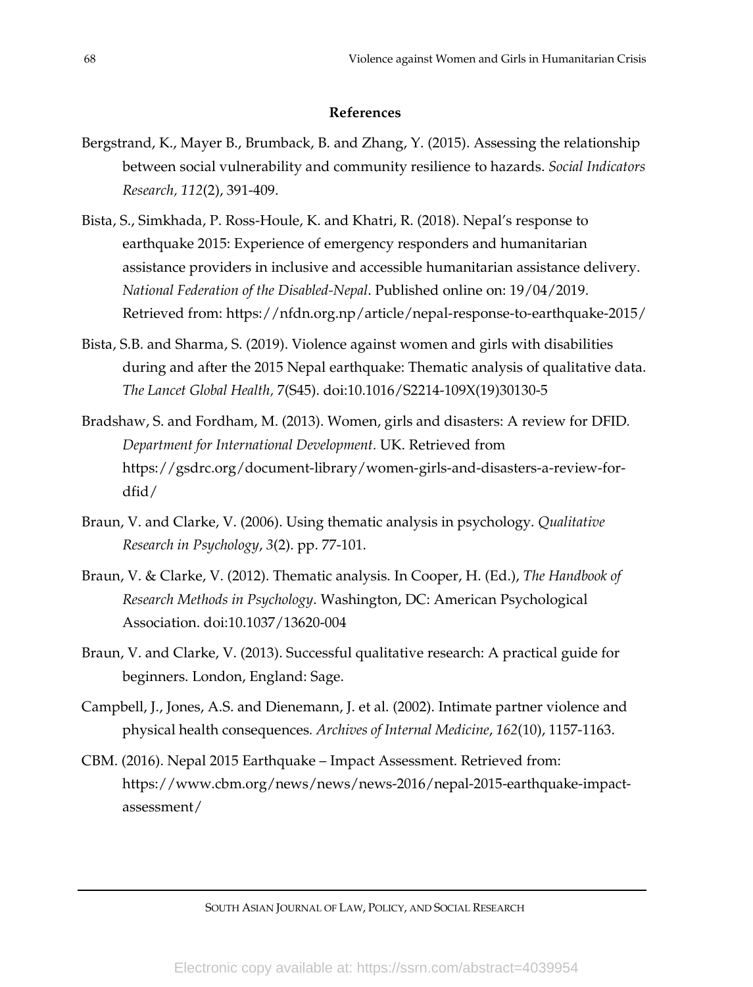# **References**

- Bergstrand, K., Mayer B., Brumback, B. and Zhang, Y. (2015). Assessing the relationship between social vulnerability and community resilience to hazards. *Social Indicators Research, 112*(2), 391-409.
- Bista, S., Simkhada, P. Ross-Houle, K. and Khatri, R. (2018). Nepal's response to earthquake 2015: Experience of emergency responders and humanitarian assistance providers in inclusive and accessible humanitarian assistance delivery. *National Federation of the Disabled-Nepal*. Published online on: 19/04/2019. Retrieved from:<https://nfdn.org.np/article/nepal-response-to-earthquake-2015/>
- Bista, S.B. and Sharma, S. (2019). Violence against women and girls with disabilities during and after the 2015 Nepal earthquake: Thematic analysis of qualitative data. *The Lancet Global Health,* 7(S45). doi:10.1016/S2214-109X(19)30130-5
- Bradshaw, S. and Fordham, M. (2013). Women, girls and disasters: A review for DFID*. Department for International Development.* UK. Retrieved from https://gsdrc.org/document-library/women-girls-and-disasters-a-review-fordfid/
- Braun, V. and Clarke, V. (2006). Using thematic analysis in psychology. *Qualitative Research in Psychology*, *3*(2). pp. 77-101.
- Braun, V. & Clarke, V. (2012). Thematic analysis. In Cooper, H. (Ed.), *The Handbook of Research Methods in Psychology*. Washington, DC: American Psychological Association. doi:10.1037/13620-004
- Braun, V. and Clarke, V. (2013). Successful qualitative research: A practical guide for beginners. London, England: Sage.
- Campbell, J., Jones, A.S. and Dienemann, J. et al. (2002). Intimate partner violence and physical health consequences*. Archives of Internal Medicine*, *162*(10), 1157-1163.
- CBM. (2016). Nepal 2015 Earthquake Impact Assessment. Retrieved from: https[://www.cbm.org/news/news/news-2016/nepal-2015-earthquake-impact](http://www.cbm.org/news/news/news-2016/nepal-2015-earthquake-impact-)assessment/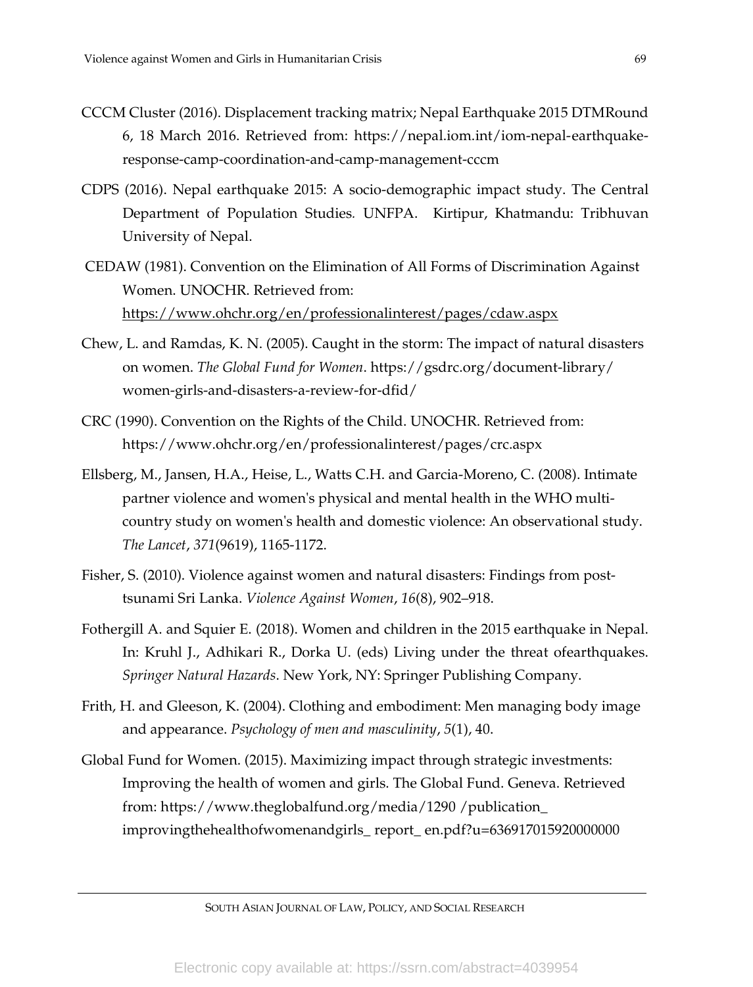- CCCM Cluster (2016). Displacement tracking matrix; Nepal Earthquake 2015 DTMRound 6, 18 March 2016. Retrieved from: https://nepal.iom.int/iom-nepal-earthquakeresponse-camp-coordination-and-camp-management-cccm
- CDPS (2016). Nepal earthquake 2015: A socio-demographic impact study. The Central Department of Population Studies*.* UNFPA. Kirtipur, Khatmandu: Tribhuvan University of Nepal.
- CEDAW (1981). Convention on the Elimination of All Forms of Discrimination Against Women. UNOCHR. Retrieved from: <https://www.ohchr.org/en/professionalinterest/pages/cdaw.aspx>
- Chew, L. and Ramdas, K. N. (2005). Caught in the storm: The impact of natural disasters on women. *The Global Fund for Women*. https://gsdrc.org/document-library/ women-girls-and-disasters-a-review-for-dfid/
- CRC (1990). Convention on the Rights of the Child. UNOCHR. Retrieved from: https://www.ohchr.org/en/professionalinterest/pages/crc.aspx
- Ellsberg, M., Jansen, H.A., Heise, L., Watts C.H. and Garcia-Moreno, C. (2008). Intimate partner violence and women's physical and mental health in the WHO multicountry study on women's health and domestic violence: An observational study. *The Lancet*, *371*(9619), 1165-1172.
- Fisher, S. (2010). Violence against women and natural disasters: Findings from posttsunami Sri Lanka. *Violence Against Women*, *16*(8), 902–918.
- Fothergill A. and Squier E. (2018). Women and children in the 2015 earthquake in Nepal. In: Kruhl J., Adhikari R., Dorka U. (eds) Living under the threat ofearthquakes. *Springer Natural Hazards*. New York, NY: Springer Publishing Company.
- Frith, H. and Gleeson, K. (2004). Clothing and embodiment: Men managing body image and appearance. *Psychology of men and masculinity*, *5*(1), 40.
- Global Fund for Women. (2015). Maximizing impact through strategic investments: Improving the health of women and girls. The Global Fund. Geneva. Retrieved from: https://www.theglobalfund.org/media/1290 /publication\_ improvingthehealthofwomenandgirls\_ report\_ en.pdf?u=636917015920000000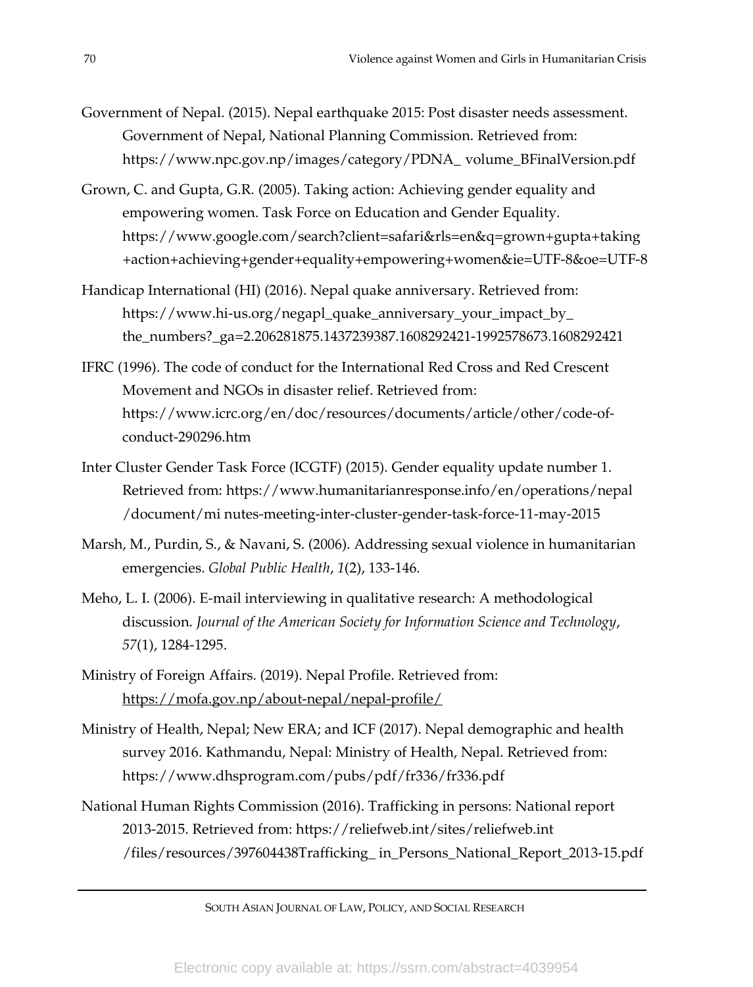- Government of Nepal. (2015). Nepal earthquake 2015: Post disaster needs assessment. Government of Nepal, National Planning Commission. Retrieved from: https:/[/www.npc.gov.np/images/category/PDNA\\_](http://www.npc.gov.np/images/category/PDNA_volume_BFinalVersion.pdf) volume\_BFinalVersion.pdf
- Grown, C. and Gupta, G.R. (2005). Taking action: Achieving gender equality and empowering women. Task Force on Education and Gender Equality. https://www.google.com/search?client=safari&rls=en&q=grown+gupta+taking +action+achieving+gender+equality+empowering+women&ie=UTF-8&oe=UTF-8
- Handicap International (HI) (2016). Nepal quake anniversary. Retrieved from: https://www.hi-us.org/negapl\_quake\_anniversary\_your\_impact\_by\_ the\_numbers?\_ga=2.206281875.1437239387.1608292421-1992578673.1608292421
- IFRC (1996). The code of conduct for the International Red Cross and Red Crescent Movement and NGOs in disaster relief. Retrieved from: https:/[/www.icrc.org/en/doc/resources/documents/article/other/code-of](http://www.icrc.org/en/doc/resources/documents/article/other/code-of-)conduct-290296.htm
- Inter Cluster Gender Task Force (ICGTF) (2015). Gender equality update number 1. Retrieved from: https:/[/www.humanitarianresponse.info/en/operations/nepal](http://www.humanitarianresponse.info/en/operations/nepal/document/mi) [/document/mi](http://www.humanitarianresponse.info/en/operations/nepal/document/mi) nutes-meeting-inter-cluster-gender-task-force-11-may-2015
- Marsh, M., Purdin, S., & Navani, S. (2006). Addressing sexual violence in humanitarian emergencies. *Global Public Health*, *1*(2), 133-146.
- Meho, L. I. (2006). E-mail interviewing in qualitative research: A methodological discussion. *Journal of the American Society for Information Science and Technology*, *57*(1), 1284-1295.
- Ministry of Foreign Affairs. (2019). Nepal Profile. Retrieved from: <https://mofa.gov.np/about-nepal/nepal-profile/>
- Ministry of Health, Nepal; New ERA; and ICF (2017). Nepal demographic and health survey 2016. Kathmandu, Nepal: Ministry of Health, Nepal. Retrieved from: https[://www.dhsprogram.com/pubs/pdf/fr336/fr336.pdf](http://www.dhsprogram.com/pubs/pdf/fr336/fr336.pdf)
- National Human Rights Commission (2016). Trafficking in persons: National report 2013-2015. Retrieved from: https://reliefweb.int/sites/reliefweb.int /files/resources/397604438Trafficking\_ in\_Persons\_National\_Report\_2013-15.pdf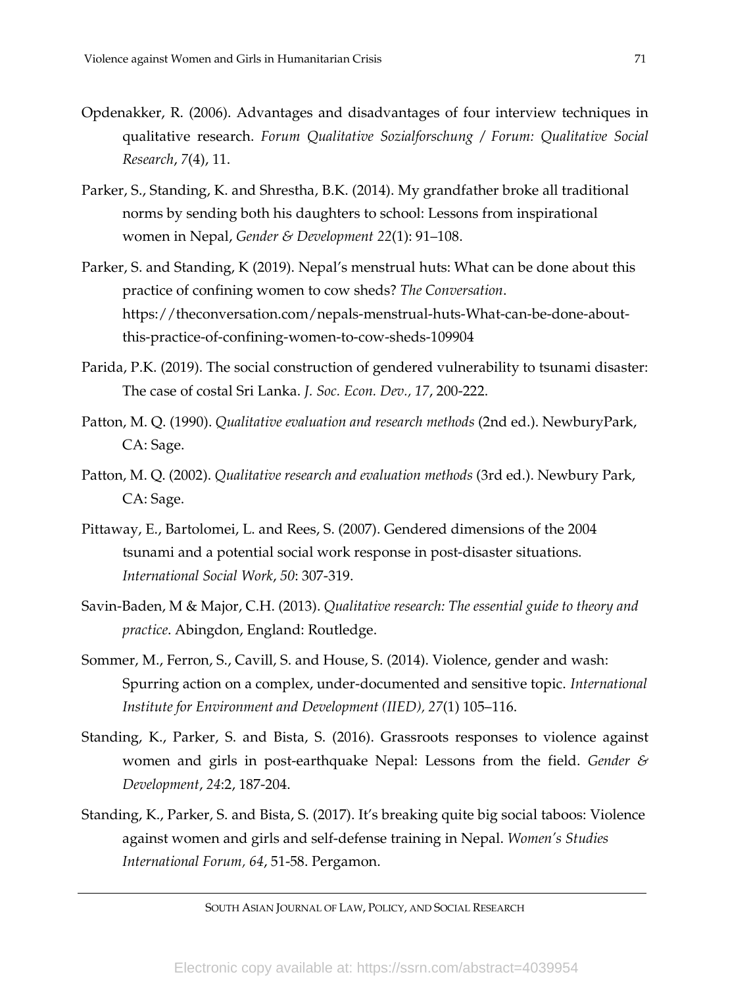- Opdenakker, R. (2006). Advantages and disadvantages of four interview techniques in qualitative research. *Forum Qualitative Sozialforschung / Forum: Qualitative Social Research*, *7*(4), 11.
- Parker, S., Standing, K. and Shrestha, B.K. (2014). My grandfather broke all traditional norms by sending both his daughters to school: Lessons from inspirational women in Nepal, *Gender & Development 22*(1): 91–108.
- Parker, S. and Standing, K (2019). Nepal's menstrual huts: What can be done about this practice of confining women to cow sheds? *The Conversation*. https://theconversation.com/nepals-menstrual-huts-What-can-be-done-aboutthis-practice-of-confining-women-to-cow-sheds-109904
- Parida, P.K. (2019). The social construction of gendered vulnerability to tsunami disaster: The case of costal Sri Lanka. *J. Soc. Econ. Dev., 17*, 200-222.
- Patton, M. Q. (1990). *Qualitative evaluation and research methods* (2nd ed.). NewburyPark, CA: Sage.
- Patton, M. Q. (2002). *Qualitative research and evaluation methods* (3rd ed.). Newbury Park, CA: Sage.
- Pittaway, E., Bartolomei, L. and Rees, S. (2007). Gendered dimensions of the 2004 tsunami and a potential social work response in post-disaster situations. *International Social Work*, *50*: 307-319.
- Savin-Baden, M & Major, C.H. (2013). *Qualitative research: The essential guide to theory and practice*. Abingdon, England: Routledge.
- Sommer, M., Ferron, S., Cavill, S. and House, S. (2014). Violence, gender and wash: Spurring action on a complex, under-documented and sensitive topic. *International Institute for Environment and Development (IIED), 27*(1) 105–116.
- Standing, K., Parker, S. and Bista, S. (2016). Grassroots responses to violence against women and girls in post-earthquake Nepal: Lessons from the field. *Gender & Development*, *24*:2, 187-204.
- Standing, K., Parker, S. and Bista, S. (2017). It's breaking quite big social taboos: Violence against women and girls and self-defense training in Nepal. Women's Studies *International Forum, 64*, 51-58. Pergamon.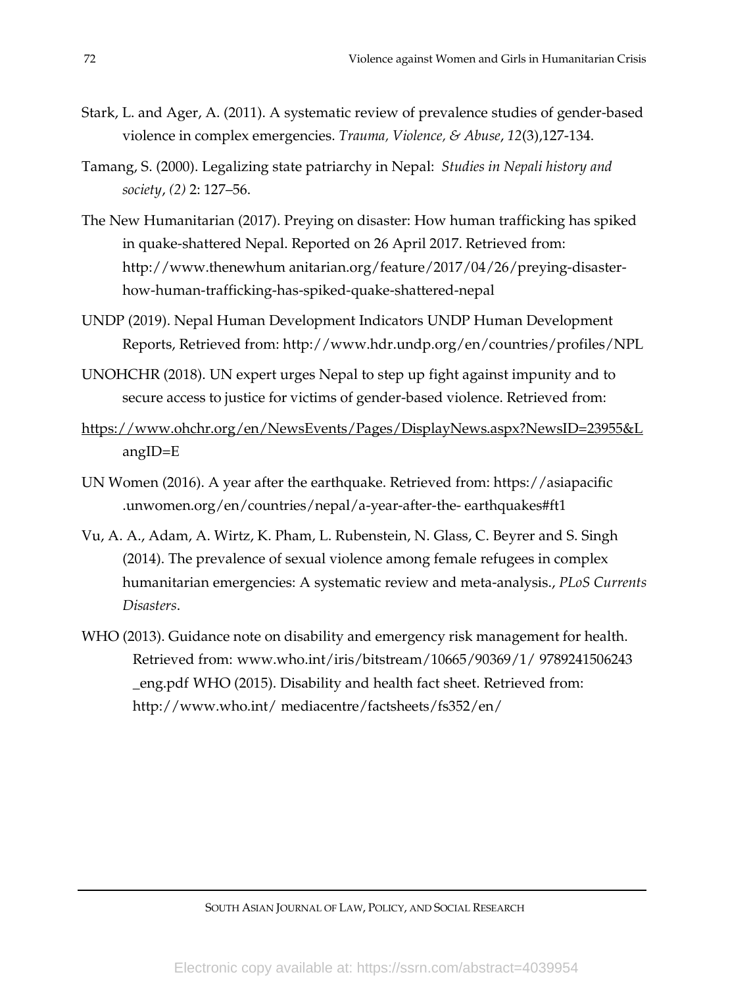- Stark, L. and Ager, A. (2011). A systematic review of prevalence studies of gender-based violence in complex emergencies. *Trauma, Violence, & Abuse*, *12*(3),127-134.
- Tamang, S. (2000). Legalizing state patriarchy in Nepal: *Studies in Nepali history and society*, *(2)* 2: 127–56.
- The New Humanitarian (2017). Preying on disaster: How human trafficking has spiked in quake-shattered Nepal. Reported on 26 April 2017. Retrieved from: [http://www.thenewhum anitarian.org/feature/2017/04/26/preying-disaster](http://www.thenewhumanitarian.org/feature/2017/04/26/preying-disaster-)how-human-trafficking-has-spiked-quake-shattered-nepal
- UNDP (2019). Nepal Human Development Indicators UNDP Human Development Reports, Retrieved from: <http://www.hdr.undp.org/en/countries/profiles/NPL>
- UNOHCHR (2018). UN expert urges Nepal to step up fight against impunity and to secure access to justice for victims of gender-based violence. Retrieved from:
- <https://www.ohchr.org/en/NewsEvents/Pages/DisplayNews.aspx?NewsID=23955&L> [angID=E](https://www.ohchr.org/en/NewsEvents/Pages/DisplayNews.aspx?NewsID=23955&LangID=E)
- UN Women (2016). A year after the earthquake. Retrieved from: https://asiapacific .unwomen.org/en/countries/nepal/a-year-after-the- [earthquakes#ft1](https://asiapacific.unwomen.org/en/countries/nepal/a-year-after-the-earthquakes#ft1)
- Vu, A. A., Adam, A. Wirtz, K. Pham, L. Rubenstein, N. Glass, C. Beyrer and S. Singh (2014). The prevalence of sexual violence among female refugees in complex humanitarian emergencies: A systematic review and meta-analysis., *PLoS Currents Disasters*.
- WHO (2013). Guidance note on disability and emergency risk management for health. Retrieved from: [www.who.int/iris/bitstream/10665/90369/1/](http://www.who.int/iris/bitstream/10665/90369/1/9789241506243_eng.pdf) 9789241506243 [\\_eng.pdf](http://www.who.int/iris/bitstream/10665/90369/1/9789241506243_eng.pdf) WHO (2015). Disability and health fact sheet. Retrieved from: http://www.who.int/ [mediacentre/factsheets/fs352/en/](http://www.who.int/mediacentre/factsheets/fs352/en/)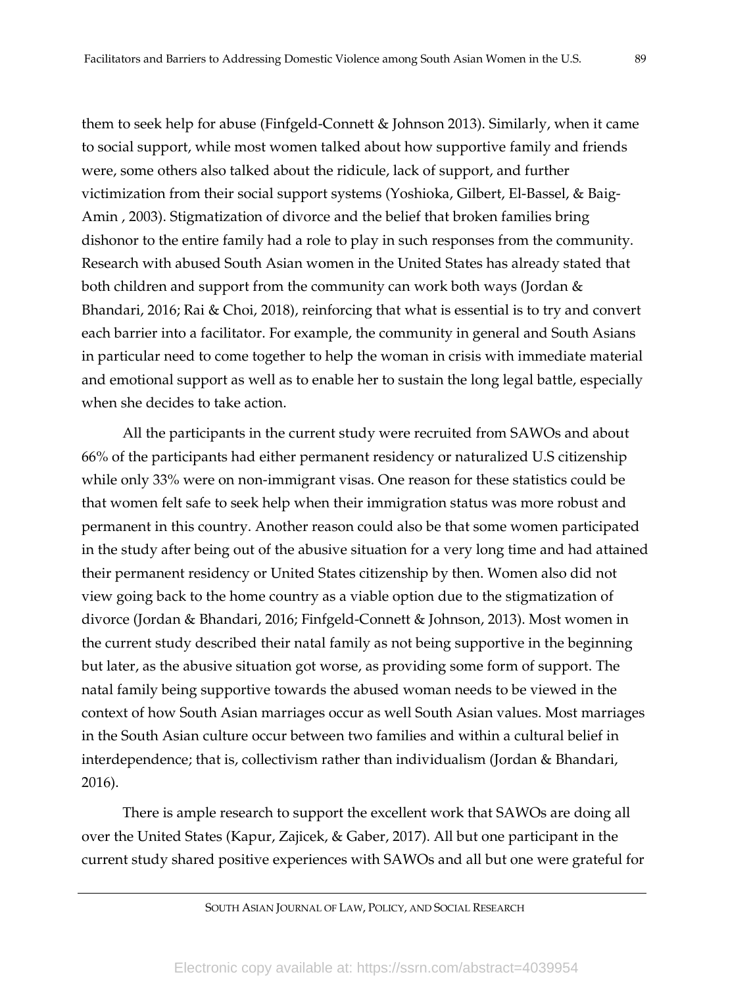them to seek help for abuse (Finfgeld-Connett & Johnson 2013). Similarly, when it came to social support, while most women talked about how supportive family and friends were, some others also talked about the ridicule, lack of support, and further victimization from their social support systems (Yoshioka, Gilbert, El-Bassel, & Baig-Amin , 2003). Stigmatization of divorce and the belief that broken families bring dishonor to the entire family had a role to play in such responses from the community. Research with abused South Asian women in the United States has already stated that both children and support from the community can work both ways (Jordan & Bhandari, 2016; Rai & Choi, 2018), reinforcing that what is essential is to try and convert each barrier into a facilitator. For example, the community in general and South Asians in particular need to come together to help the woman in crisis with immediate material and emotional support as well as to enable her to sustain the long legal battle, especially when she decides to take action.

All the participants in the current study were recruited from SAWOs and about 66% of the participants had either permanent residency or naturalized U.S citizenship while only 33% were on non-immigrant visas. One reason for these statistics could be that women felt safe to seek help when their immigration status was more robust and permanent in this country. Another reason could also be that some women participated in the study after being out of the abusive situation for a very long time and had attained their permanent residency or United States citizenship by then. Women also did not view going back to the home country as a viable option due to the stigmatization of divorce (Jordan & Bhandari, 2016; Finfgeld-Connett & Johnson, 2013). Most women in the current study described their natal family as not being supportive in the beginning but later, as the abusive situation got worse, as providing some form of support. The natal family being supportive towards the abused woman needs to be viewed in the context of how South Asian marriages occur as well South Asian values. Most marriages in the South Asian culture occur between two families and within a cultural belief in interdependence; that is, collectivism rather than individualism (Jordan & Bhandari, 2016).

There is ample research to support the excellent work that SAWOs are doing all over the United States (Kapur, Zajicek, & Gaber, 2017). All but one participant in the current study shared positive experiences with SAWOs and all but one were grateful for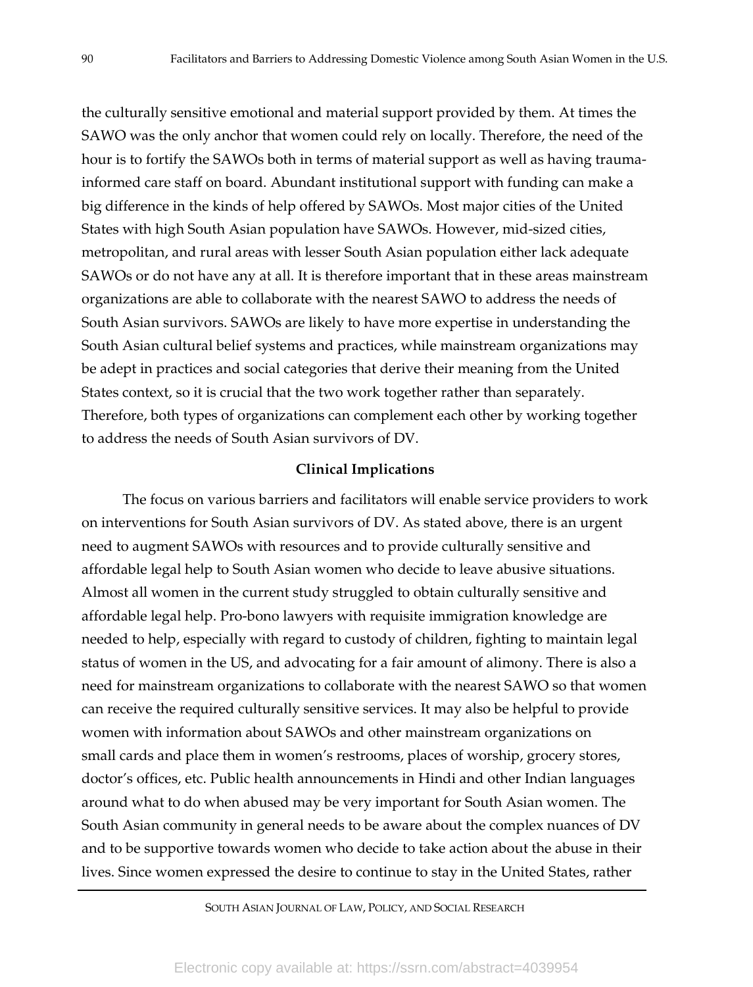the culturally sensitive emotional and material support provided by them. At times the SAWO was the only anchor that women could rely on locally. Therefore, the need of the hour is to fortify the SAWOs both in terms of material support as well as having traumainformed care staff on board. Abundant institutional support with funding can make a big difference in the kinds of help offered by SAWOs. Most major cities of the United States with high South Asian population have SAWOs. However, mid-sized cities, metropolitan, and rural areas with lesser South Asian population either lack adequate SAWOs or do not have any at all. It is therefore important that in these areas mainstream organizations are able to collaborate with the nearest SAWO to address the needs of South Asian survivors. SAWOs are likely to have more expertise in understanding the South Asian cultural belief systems and practices, while mainstream organizations may be adept in practices and social categories that derive their meaning from the United States context, so it is crucial that the two work together rather than separately. Therefore, both types of organizations can complement each other by working together to address the needs of South Asian survivors of DV.

## **Clinical Implications**

The focus on various barriers and facilitators will enable service providers to work on interventions for South Asian survivors of DV. As stated above, there is an urgent need to augment SAWOs with resources and to provide culturally sensitive and affordable legal help to South Asian women who decide to leave abusive situations. Almost all women in the current study struggled to obtain culturally sensitive and affordable legal help. Pro-bono lawyers with requisite immigration knowledge are needed to help, especially with regard to custody of children, fighting to maintain legal status of women in the US, and advocating for a fair amount of alimony. There is also a need for mainstream organizations to collaborate with the nearest SAWO so that women can receive the required culturally sensitive services. It may also be helpful to provide women with information about SAWOs and other mainstream organizations on small cards and place them in women's restrooms, places of worship, grocery stores, doctor's offices, etc. Public health announcements in Hindi and other Indian languages around what to do when abused may be very important for South Asian women. The South Asian community in general needs to be aware about the complex nuances of DV and to be supportive towards women who decide to take action about the abuse in their lives. Since women expressed the desire to continue to stay in the United States, rather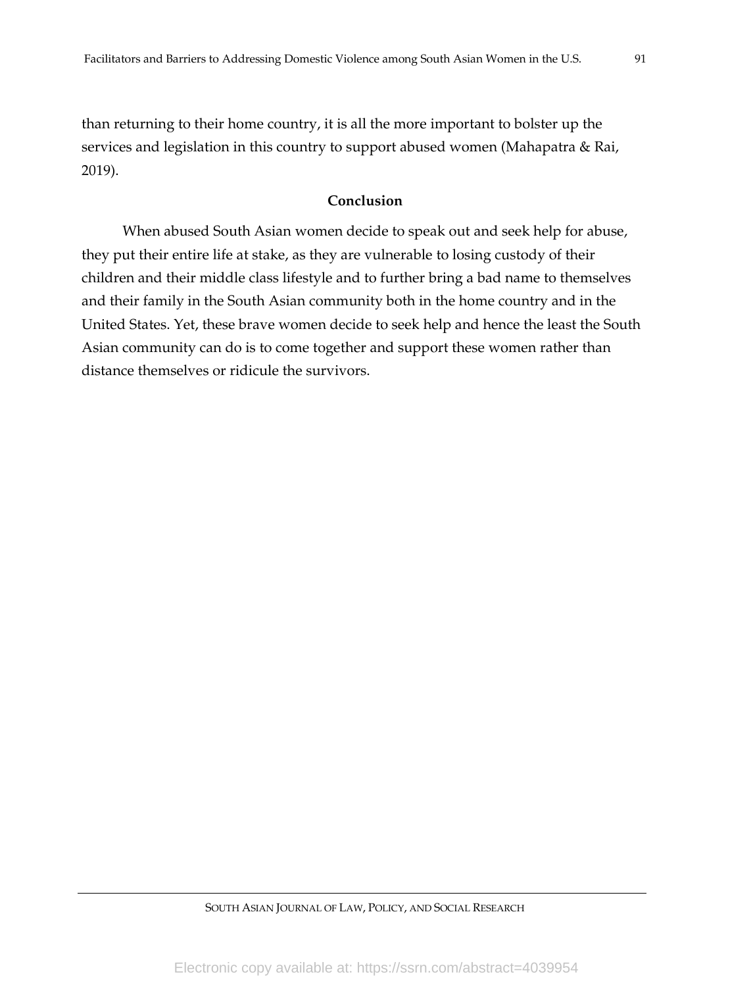than returning to their home country, it is all the more important to bolster up the services and legislation in this country to support abused women (Mahapatra & Rai, 2019).

# **Conclusion**

When abused South Asian women decide to speak out and seek help for abuse, they put their entire life at stake, as they are vulnerable to losing custody of their children and their middle class lifestyle and to further bring a bad name to themselves and their family in the South Asian community both in the home country and in the United States. Yet, these brave women decide to seek help and hence the least the South Asian community can do is to come together and support these women rather than distance themselves or ridicule the survivors.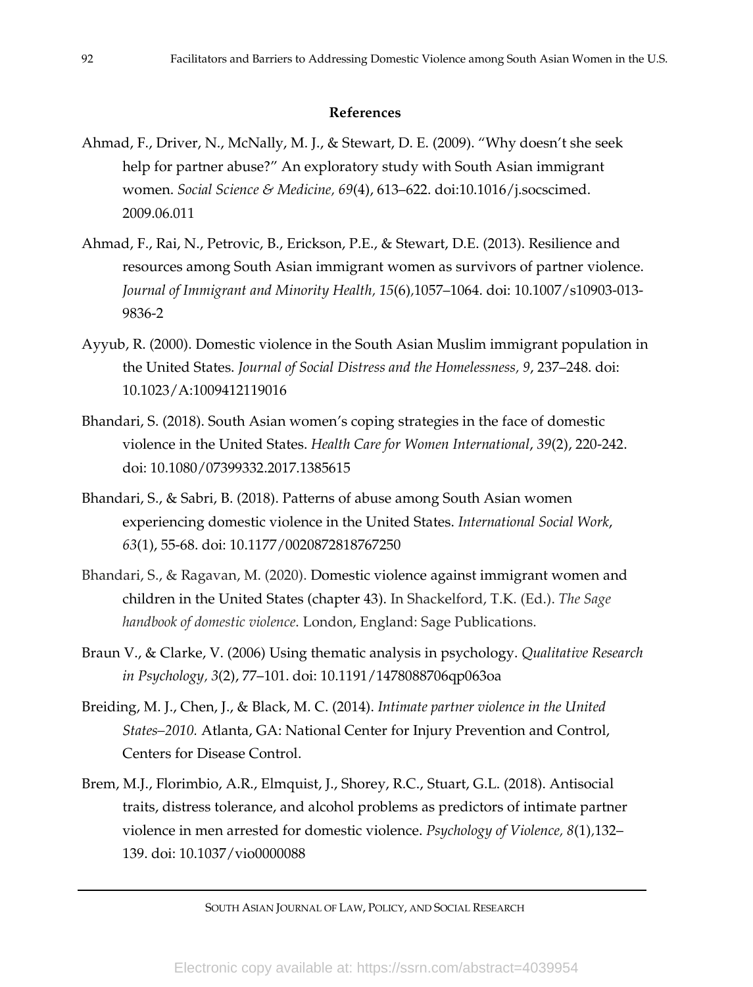# **References**

- Ahmad, F., Driver, N., McNally, M. J., & Stewart, D. E. (2009). "Why doesn't she seek help for partner abuse?" An exploratory study with South Asian immigrant women. *Social Science & Medicine, 69*(4), 613–622. doi:10.1016/j.socscimed. 2009.06.011
- Ahmad, F., Rai, N., Petrovic, B., Erickson, P.E., & Stewart, D.E. (2013). Resilience and resources among South Asian immigrant women as survivors of partner violence. *Journal of Immigrant and Minority Health, 15*(6)*,*1057–1064. doi: 10.1007/s10903-013- 9836-2
- Ayyub, R. (2000). Domestic violence in the South Asian Muslim immigrant population in the United States. *Journal of Social Distress and the Homelessness, 9*, 237–248. doi: 10.1023/A:1009412119016
- Bhandari, S. (2018). South Asian women's coping strategies in the face of domestic violence in the United States. *Health Care for Women International*, *39*(2), 220-242. doi: 10.1080/07399332.2017.1385615
- Bhandari, S., & Sabri, B. (2018). Patterns of abuse among South Asian women experiencing domestic violence in the United States. *International Social Work*, *63*(1), 55-68. doi: 10.1177/0020872818767250
- Bhandari, S., & Ragavan, M. (2020). Domestic violence against immigrant women and children in the United States (chapter 43). In Shackelford, T.K. (Ed.). *The Sage handbook of domestic violence*. London, England: Sage Publications.
- Braun V., & Clarke, V. (2006) Using thematic analysis in psychology. *Qualitative Research in Psychology, 3*(2), 77–101. doi: 10.1191/1478088706qp063oa
- Breiding, M. J., Chen, J., & Black, M. C. (2014). *Intimate partner violence in the United Statesă2010.* Atlanta, GA: National Center for Injury Prevention and Control, Centers for Disease Control.
- Brem, M.J., Florimbio, A.R., Elmquist, J., Shorey, R.C., Stuart, G.L. (2018). Antisocial traits, distress tolerance, and alcohol problems as predictors of intimate partner violence in men arrested for domestic violence. *Psychology of Violence, 8*(1)*,*132– 139. doi: 10.1037/vio0000088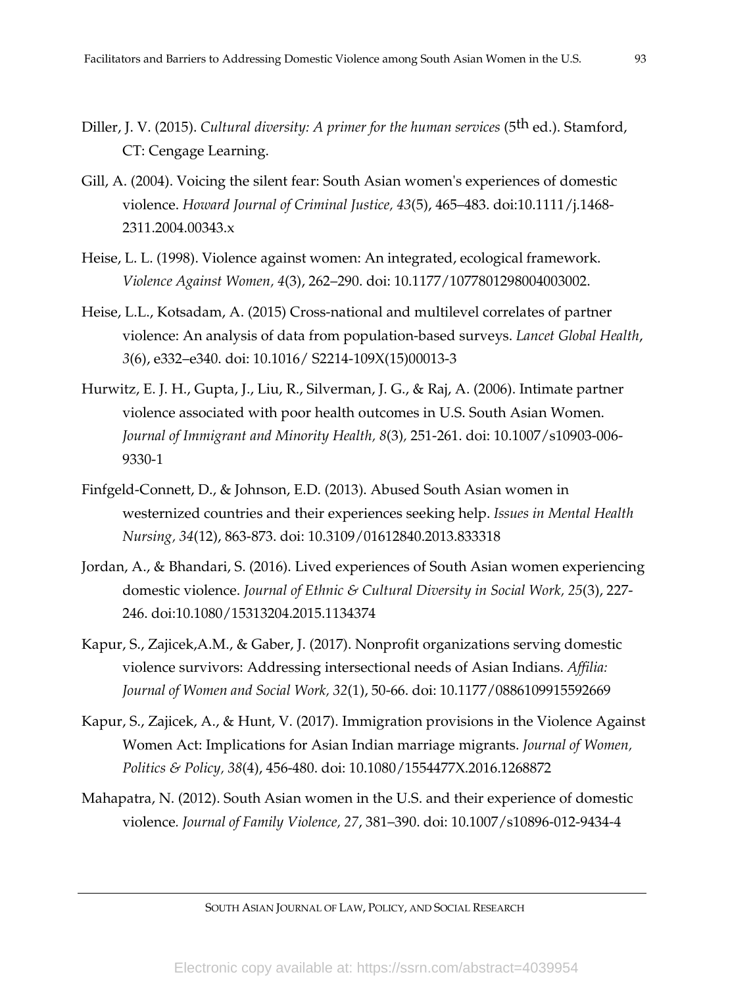- Diller, J. V. (2015). *Cultural diversity: A primer for the human services* (5th ed.). Stamford, CT: Cengage Learning.
- Gill, A. (2004). Voicing the silent fear: South Asian women's experiences of domestic violence. *Howard Journal of Criminal Justice, 43*(5), 465–483. doi:10.1111/j.1468- 2311.2004.00343.x
- Heise, L. L. (1998). Violence against women: An integrated, ecological framework. *Violence Against Women, 4*(3), 262–290. doi: 10.1177/1077801298004003002.
- Heise, L.L., Kotsadam, A. (2015) Cross-national and multilevel correlates of partner violence: An analysis of data from population-based surveys. *Lancet Global Health*, *3*(6), e332–e340. doi: 10.1016/ S2214-109X(15)00013-3
- Hurwitz, E. J. H., Gupta, J., Liu, R., Silverman, J. G., & Raj, A. (2006). Intimate partner violence associated with poor health outcomes in U.S. South Asian Women. *Journal of Immigrant and Minority Health, 8*(3)*,* 251-261. doi: 10.1007/s10903-006- 9330-1
- Finfgeld-Connett, D., & Johnson, E.D. (2013). Abused South Asian women in westernized countries and their experiences seeking help. *Issues in Mental Health Nursing, 34*(12), 863-873. doi: 10.3109/01612840.2013.833318
- Jordan, A., & Bhandari, S. (2016). Lived experiences of South Asian women experiencing domestic violence. *Journal of Ethnic & Cultural Diversity in Social Work, 25*(3), 227- 246. doi:10.1080/15313204.2015.1134374
- Kapur, S., Zajicek,A.M., & Gaber, J. (2017). Nonprofit organizations serving domestic violence survivors: Addressing intersectional needs of Asian Indians. *Affilia: Journal of Women and Social Work, 32*(1), 50-66. doi: 10.1177/0886109915592669
- Kapur, S., Zajicek, A., & Hunt, V. (2017). Immigration provisions in the Violence Against Women Act: Implications for Asian Indian marriage migrants. *Journal of Women, Politics & Policy, 38*(4), 456-480. doi: 10.1080/1554477X.2016.1268872
- Mahapatra, N. (2012). South Asian women in the U.S. and their experience of domestic violence*. Journal of Family Violence, 27*, 381–390. doi: 10.1007/s10896-012-9434-4

SOUTH ASIAN JOURNAL OF LAW, POLICY, AND SOCIAL RESEARCH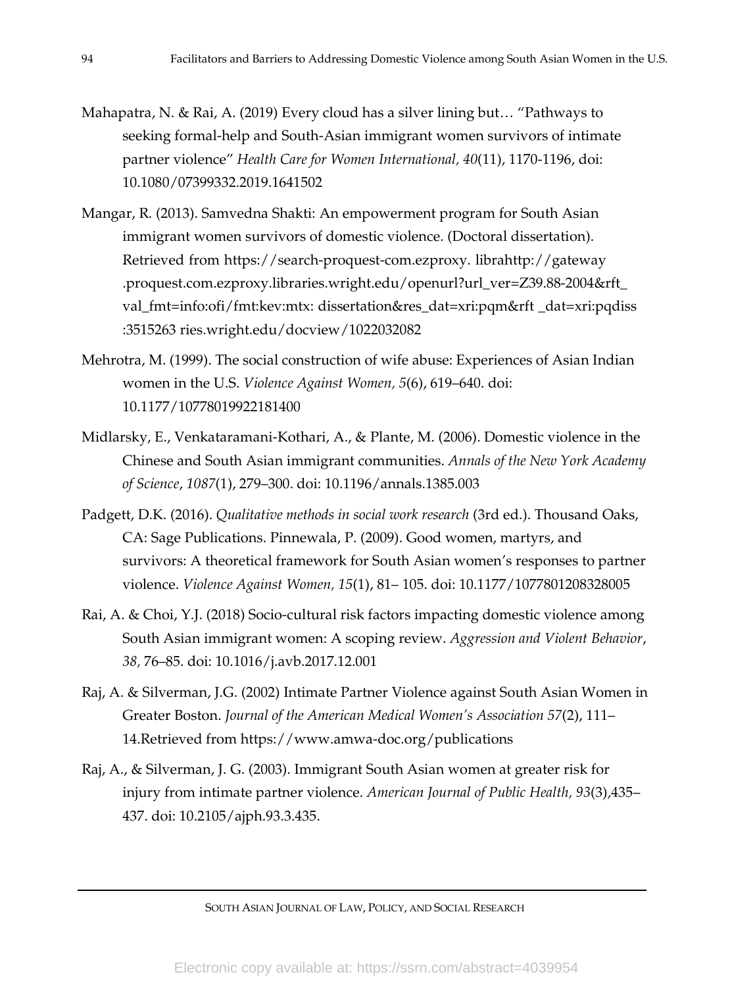- Mahapatra, N. & Rai, A. (2019) Every cloud has a silver lining but… "Pathways to seeking formal-help and South-Asian immigrant women survivors of intimate partner violence" *Health Care for Women International, 40*(11), 1170-1196, doi: 10.1080/07399332.2019.1641502
- Mangar, R. (2013). Samvedna Shakti: An empowerment program for South Asian immigrant women survivors of domestic violence. (Doctoral dissertation). .Retrieved from https://search-proquest-com.ezproxy. libr[ahttp://gateway](http://gateway.proquest.com.ezproxy.libraries.wright.edu/o) [.proquest.com.ezproxy.libraries.wright.edu/op](http://gateway.proquest.com.ezproxy.libraries.wright.edu/o)enurl?url\_ver=Z39.88-2004&rft\_ val\_fmt=info:ofi/fmt:kev:mtx: dissertation&res\_dat=xri:pqm&rft \_dat=xri:pqdiss :3515263 ries.wright.edu/docview/1022032082
- Mehrotra, M. (1999). The social construction of wife abuse: Experiences of Asian Indian women in the U.S. *Violence Against Women, 5*(6), 619–640. doi: 10.1177/10778019922181400
- Midlarsky, E., Venkataramani-Kothari, A., & Plante, M. (2006). Domestic violence in the Chinese and South Asian immigrant communities. *Annals of the New York Academy of Science*, *1087*(1), 279–300. doi: 10.1196/annals.1385.003
- Padgett, D.K. (2016). *Qualitative methods in social work research* (3rd ed.). Thousand Oaks, CA: Sage Publications. Pinnewala, P. (2009). Good women, martyrs, and survivors: A theoretical framework for South Asian women's responses to partner violence. *Violence Against Women, 15*(1), 81– 105. doi: 10.1177/1077801208328005
- Rai, A. & Choi, Y.J. (2018) Socio-cultural risk factors impacting domestic violence among South Asian immigrant women: A scoping review. *Aggression and Violent Behavior*, *38,* 76–85. doi: 10.1016/j.avb.2017.12.001
- Raj, A. & Silverman, J.G. (2002) Intimate Partner Violence against South Asian Women in Greater Boston. *Journal of the American Medical Women's Association* 57(2), 111– 14.Retrieved from https[://www.amwa-doc.org/publications](http://www.amwa-doc.org/publications)
- Raj, A., & Silverman, J. G. (2003). Immigrant South Asian women at greater risk for injury from intimate partner violence. *American Journal of Public Health, 93*(3),435– 437. doi: 10.2105/ajph.93.3.435.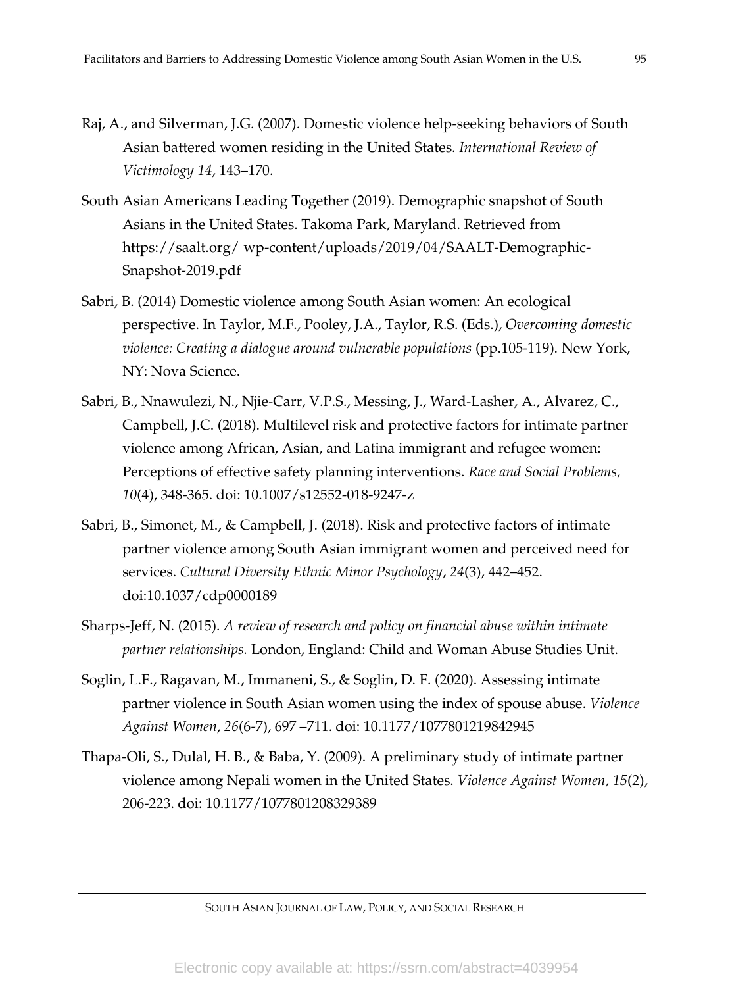- Raj, A., and Silverman, J.G. (2007). Domestic violence help-seeking behaviors of South Asian battered women residing in the United States. *International Review of Victimology 14*, 143–170.
- South Asian Americans Leading Together (2019). Demographic snapshot of South Asians in the United States. Takoma Park, Maryland. Retrieved from https://saalt.org/ wp-content/uploads/2019/04/SAALT-Demographic-Snapshot-2019.pdf
- Sabri, B. (2014) Domestic violence among South Asian women: An ecological perspective. In Taylor, M.F., Pooley, J.A., Taylor, R.S. (Eds.), *Overcoming domestic violence: Creating a dialogue around vulnerable populations (pp.105-119). New York,* NY: Nova Science.
- Sabri, B., Nnawulezi, N., Njie-Carr, V.P.S., Messing, J., Ward-Lasher, A., Alvarez, C., Campbell, J.C. (2018). Multilevel risk and protective factors for intimate partner violence among African, Asian, and Latina immigrant and refugee women: Perceptions of effective safety planning interventions. *Race and Social Problems, 10*(4), 348-365. doi: 10.1007/s12552-018-9247-z
- Sabri, B., Simonet, M., & Campbell, J. (2018). Risk and protective factors of intimate partner violence among South Asian immigrant women and perceived need for services. *Cultural Diversity Ethnic Minor Psychology*, *24*(3), 442–452. doi:10.1037/cdp0000189
- Sharps-Jeff, N. (2015). *A review of research and policy on financial abuse within intimate partner relationships.* London, England: Child and Woman Abuse Studies Unit.
- Soglin, L.F., Ragavan, M., Immaneni, S., & Soglin, D. F. (2020). Assessing intimate partner violence in South Asian women using the index of spouse abuse. *Violence Against Women*, *26*(6-7), 697 –711. doi: 10.1177/1077801219842945
- Thapa-Oli, S., Dulal, H. B., & Baba, Y. (2009). A preliminary study of intimate partner violence among Nepali women in the United States. *Violence Against Women, 15*(2), 206-223. doi: 10.1177/1077801208329389